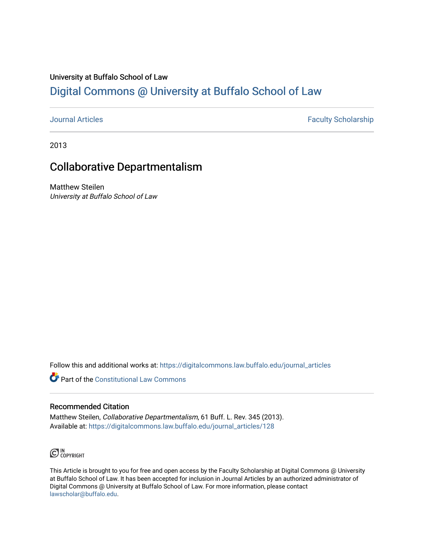# University at Buffalo School of Law [Digital Commons @ University at Buffalo School of Law](https://digitalcommons.law.buffalo.edu/)

[Journal Articles](https://digitalcommons.law.buffalo.edu/journal_articles) **Faculty Scholarship Faculty Scholarship** 

2013

# Collaborative Departmentalism

Matthew Steilen University at Buffalo School of Law

Follow this and additional works at: [https://digitalcommons.law.buffalo.edu/journal\\_articles](https://digitalcommons.law.buffalo.edu/journal_articles?utm_source=digitalcommons.law.buffalo.edu%2Fjournal_articles%2F128&utm_medium=PDF&utm_campaign=PDFCoverPages) 

**Part of the Constitutional Law Commons** 

#### Recommended Citation

Matthew Steilen, Collaborative Departmentalism, 61 Buff. L. Rev. 345 (2013). Available at: [https://digitalcommons.law.buffalo.edu/journal\\_articles/128](https://digitalcommons.law.buffalo.edu/journal_articles/128?utm_source=digitalcommons.law.buffalo.edu%2Fjournal_articles%2F128&utm_medium=PDF&utm_campaign=PDFCoverPages)



This Article is brought to you for free and open access by the Faculty Scholarship at Digital Commons @ University at Buffalo School of Law. It has been accepted for inclusion in Journal Articles by an authorized administrator of Digital Commons @ University at Buffalo School of Law. For more information, please contact [lawscholar@buffalo.edu](mailto:lawscholar@buffalo.edu).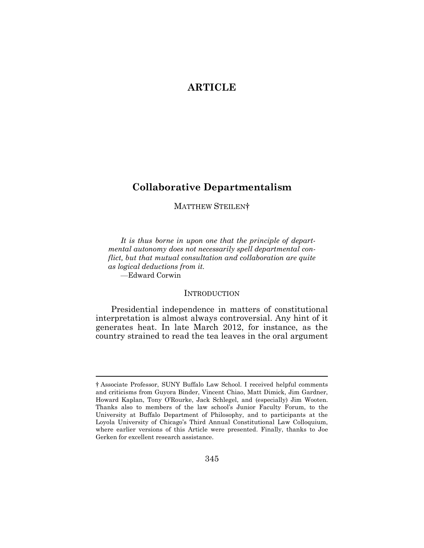## **ARTICLE**

# **Collaborative Departmentalism**

MATTHEW STEILEN†

*It is thus borne in upon one that the principle of departmental autonomy does not necessarily spell departmental conflict, but that mutual consultation and collaboration are quite as logical deductions from it.*  —Edward Corwin

### **INTRODUCTION**

 interpretation is almost always controversial. Any hint of it country strained to read the tea leaves in the oral argument Presidential independence in matters of constitutional generates heat. In late March 2012, for instance, as the

 † Associate Professor, SUNY Buffalo Law School. I received helpful comments and criticisms from Guyora Binder, Vincent Chiao, Matt Dimick, Jim Gardner, Howard Kaplan, Tony O'Rourke, Jack Schlegel, and (especially) Jim Wooten. Thanks also to members of the law school's Junior Faculty Forum, to the University at Buffalo Department of Philosophy, and to participants at the Loyola University of Chicago's Third Annual Constitutional Law Colloquium, where earlier versions of this Article were presented. Finally, thanks to Joe Gerken for excellent research assistance. 345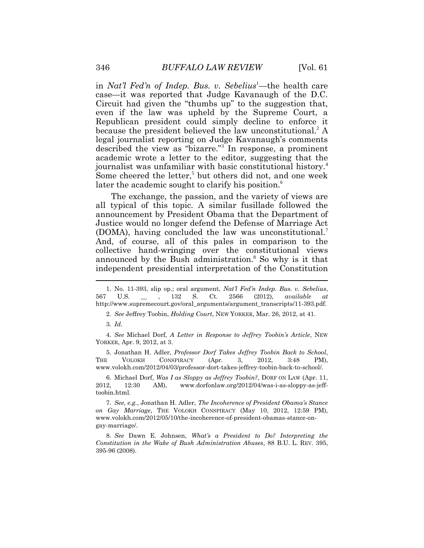in *Nat'l Fed'n of Indep. Bus. v. Sebelius*<sup>1</sup>—the health care even if the law was upheld by the Supreme Court, a Republican president could simply decline to enforce it because the president believed the law unconstitutional.<sup>2</sup> A academic wrote a letter to the editor, suggesting that the journalist was unfamiliar with basic constitutional history.<sup>4</sup> Some cheered the letter,<sup>5</sup> but others did not, and one week case—it was reported that Judge Kavanaugh of the D.C. Circuit had given the "thumbs up" to the suggestion that, legal journalist reporting on Judge Kavanaugh's comments described the view as "bizarre."<sup>3</sup> In response, a prominent later the academic sought to clarify his position.<sup>6</sup>

 The exchange, the passion, and the variety of views are all typical of this topic. A similar fusillade followed the (DOMA), having concluded the law was unconstitutional.<sup>7</sup> And, of course, all of this pales in comparison to the collective hand-wringing over the constitutional views announced by the Bush administration.<sup>8</sup> So why is it that announcement by President Obama that the Department of Justice would no longer defend the Defense of Marriage Act independent presidential interpretation of the Constitution

<span id="page-2-0"></span>2. *See* Jeffrey Toobin, *Holding Court*, NEW YORKER, Mar. 26, 2012, at 41.

3. *Id.* 

 4. *See* Michael Dorf, *A Letter in Response to Jeffrey Toobin's Article*, NEW YORKER, Apr. 9, 2012, at 3.

3:48 5. Jonathan H. Adler, *Professor Dorf Takes Jeffrey Toobin Back to School*, THE VOLOKH CONSPIRACY (Apr. 3, 2012, 3:48 PM), <www.volokh.com/2012/04/03/professor-dort-takes-jeffrey-toobin-back-to-school>/.

2012, 6. Michael Dorf, *Was I as Sloppy as Jeffrey Toobin?*, DORF ON LAW (Apr. 11, 2012, 12:30 AM), <www.dorfonlaw.org/2012/04/was-i-as-sloppy-as-jeff>toobin.html.

 *on Gay Marriage*, THE VOLOKH CONSPIRACY (May 10, 2012, 12:59 PM), 7. *See, e.g.*, Jonathan H. Adler, *The Incoherence of President Obama's Stance* <www.volokh.com/2012/05/10/the-incoherence-of-president-obamas-stance-on>gay-marriage/.

 8. *See* Dawn E. Johnsen, *What's a President to Do? Interpreting the Constitution in the Wake of Bush Administration Abuses*, 88 B.U. L. REV. 395, 395-96 (2008).

 567 U.S. \_\_ , 132 S. Ct. 2566 (2012), *available at*  1. No. 11-393, slip op.; oral argument, *Nat'l Fed'n Indep. Bus. v. Sebelius*, [http://www.supremecourt.gov/oral\\_arguments/argument\\_transcripts/11-393.pdf](http://www.supremecourt.gov/oral_arguments/argument_transcripts/11-393.pdf).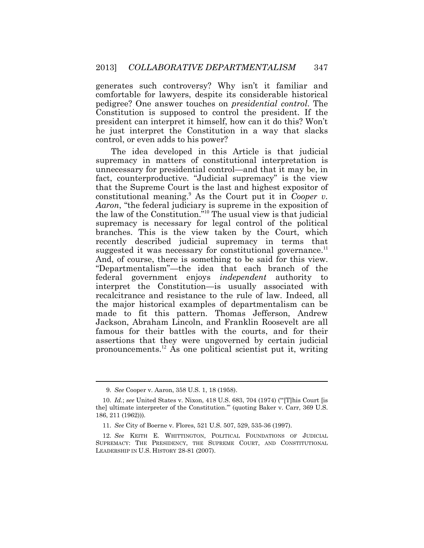generates such controversy? Why isn't it familiar and Constitution is supposed to control the president. If the president can interpret it himself, how can it do this? Won't he just interpret the Constitution in a way that slacks comfortable for lawyers, despite its considerable historical pedigree? One answer touches on *presidential control*. The control, or even adds to his power?

 The idea developed in this Article is that judicial unnecessary for presidential control—and that it may be, in constitutional meaning.<sup>9</sup> As the Court put it in *Cooper v. Aaron*, "the federal judiciary is supreme in the exposition of the law of the Constitution."<sup>10</sup> The usual view is that judicial supremacy is necessary for legal control of the political branches. This is the view taken by the Court, which recently described judicial supremacy in terms that suggested it was necessary for constitutional governance.<sup>11</sup> And, of course, there is something to be said for this view. "Departmentalism"—the idea that each branch of the federal government enjoys *independent* authority to interpret the Constitution—is usually associated with recalcitrance and resistance to the rule of law. Indeed, all the major historical examples of departmentalism can be famous for their battles with the courts, and for their assertions that they were ungoverned by certain judicial [pronouncements.](https://pronouncements.12)<sup>12</sup>As one political scientist put it, writing supremacy in matters of constitutional interpretation is fact, counterproductive. "Judicial supremacy" is the view that the Supreme Court is the last and highest expositor of made to fit this pattern. Thomas Jefferson, Andrew Jackson, Abraham Lincoln, and Franklin Roosevelt are all

<span id="page-3-0"></span><sup>9.</sup> *See* Cooper v. Aaron, 358 U.S. 1, 18 (1958).

 the] ultimate interpreter of the Constitution.'" (quoting Baker v. Carr, 369 U.S. 10. *Id.*; *see* United States v. Nixon, 418 U.S. 683, 704 (1974) ("'[T]his Court [is 186, 211 (1962))).

 11. *See* City of Boerne v. Flores, 521 U.S. 507, 529, 535-36 (1997).

 12. *See* KEITH E. WHITTINGTON, POLITICAL FOUNDATIONS OF JUDICIAL SUPREMACY: THE PRESIDENCY, THE SUPREME COURT, AND CONSTITUTIONAL LEADERSHIP IN U.S. HISTORY 28-81 (2007).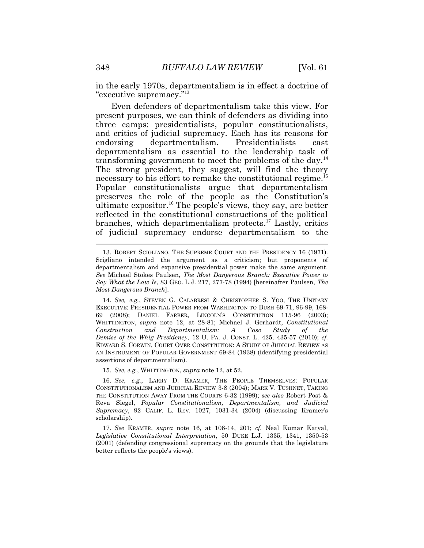<span id="page-4-3"></span> in the early 1970s, departmentalism is in effect a doctrine of "executive supremacy."<sup>13</sup>

<span id="page-4-1"></span> Even defenders of departmentalism take this view. For present purposes, we can think of defenders as dividing into and critics of judicial supremacy. Each has its reasons for departmentalism as essential to the leadership task of transforming government to meet the problems of the day.<sup>14</sup> The strong president, they suggest, will find the theory necessary to his effort to remake the constitutional [regime.](https://regime.15)<sup>15</sup> ultimate [expositor.](https://expositor.16)<sup>16</sup> The people's views, they say, are better reflected in the constitutional constructions of the political of judicial supremacy endorse departmentalism to the  $\overline{a}$ three camps: presidentialists, popular constitutionalists, endorsing departmentalism. Presidentialists cast Popular constitutionalists argue that departmentalism preserves the role of the people as the Constitution's branches, which departmentalism [protects.](https://protects.17)<sup>17</sup> Lastly, critics

 14. *See, e.g.*, STEVEN G. CALABRESI & CHRISTOPHER S. YOO, THE UNITARY EXECUTIVE: PRESIDENTIAL POWER FROM WASHINGTON TO BUSH 69-71, 96-99, 168- 69 (2008); DANIEL FARBER, LINCOLN'S CONSTITUTION 115-96 (2003); WHITTINGTON, *supra* note [12,](#page-3-0) at 28-81; Michael J. Gerhardt, *Constitutional*   $Case$  *Demise of the Whig Presidency*, 12 U. PA. J. CONST. L. 425, 435-57 (2010); *cf.*  EDWARD S. CORWIN, COURT OVER CONSTITUTION: A STUDY OF JUDICIAL REVIEW AS AN INSTRUMENT OF POPULAR GOVERNMENT 69-84 (1938) (identifying presidential *Construction and Departmentalism: A Case Study of the*  assertions of departmentalism).

15. *See, e.g.*, WHITTINGTON, *supra* note 12, at 52.

 CONSTITUTIONALISM AND JUDICIAL REVIEW 3-8 (2004); MARK V. TUSHNET, TAKING THE CONSTITUTION AWAY FROM THE COURTS 6-32 (1999); *see also* Robert Post &  Reva Siegel, *Popular Constitutionalism, Departmentalism, and Judicial Supremacy*, 92 CALIF. L. REV. 1027, 1031-34 (2004) (discussing Kramer's 16. *See, e.g.*, LARRY D. KRAMER, THE PEOPLE THEMSELVES: POPULAR scholarship).

 17. *See* KRAMER, *supra* note [16,](#page-4-0) at 106-14, 201; *cf.* Neal Kumar Katyal, *Legislative Constitutional Interpretation*, 50 DUKE L.J. 1335, 1341, 1350-53 (2001) (defending congressional supremacy on the grounds that the legislature better reflects the people's views).

<span id="page-4-2"></span><span id="page-4-0"></span> Scigliano intended the argument as a criticism; but proponents of departmentalism and expansive presidential power make the same argument. *See* Michael Stokes Paulsen, *The Most Dangerous Branch: Executive Power to Say What the Law Is*, 83 GEO. L.J. 217, 277-78 (1994) [hereinafter Paulsen, *The*  13. ROBERT SCIGLIANO, THE SUPREME COURT AND THE PRESIDENCY 16 (1971). *Most Dangerous Branch*].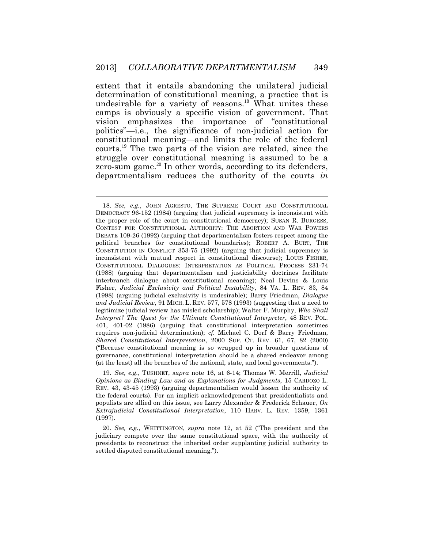<span id="page-5-0"></span> extent that it entails abandoning the unilateral judicial determination of constitutional meaning, a practice that is undesirable for a variety of reasons.<sup>18</sup> What unites these camps is obviously a specific vision of government. That struggle over constitutional meaning is assumed to be a zero-sum game.<sup>20</sup> In other words, according to its defenders, departmentalism reduces the authority of the courts *in*  vision emphasizes the importance of "constitutional politics"—i.e., the significance of non-judicial action for constitutional meaning—and limits the role of the federal [courts.](https://courts.19)<sup>19</sup> The two parts of the vision are related, since the

<span id="page-5-1"></span> DEMOCRACY 96-152 (1984) (arguing that judicial supremacy is inconsistent with the proper role of the court in constitutional democracy); SUSAN R. BURGESS, DEBATE 109-26 (1992) (arguing that departmentalism fosters respect among the political branches for constitutional boundaries); ROBERT A. BURT, THE CONSTITUTION IN CONFLICT 353-75 (1992) (arguing that judicial supremacy is inconsistent with mutual respect in constitutional discourse); LOUIS FISHER, CONSTITUTIONAL DIALOGUES: INTERPRETATION AS POLITICAL PROCESS 231-74 (1988) (arguing that departmentalism and justiciability doctrines facilitate interbranch dialogue about constitutional meaning); Neal Devins & Louis  Fisher, *Judicial Exclusivity and Political Instability*, 84 VA. L. REV. 83, 84 (1998) (arguing judicial exclusivity is undesirable); Barry Friedman, *Dialogue and Judicial Review*, 91 MICH. L. REV. 577, 578 (1993) (suggesting that a need to legitimize judicial review has misled scholarship); Walter F. Murphy, *Who Shall Interpret? The Quest for the Ultimate Constitutional Interpreter*, 48 REV. POL. requires non-judicial determination); *cf.* Michael C. Dorf & Barry Friedman, *Shared Constitutional Interpretation*, 2000 SUP. CT. REV. 61, 67, 82 (2000) ("Because constitutional meaning is so wrapped up in broader questions of governance, constitutional interpretation should be a shared endeavor among 18. *See, e.g.*, JOHN AGRESTO, THE SUPREME COURT AND CONSTITUTIONAL CONTEST FOR CONSTITUTIONAL AUTHORITY: THE ABORTION AND WAR POWERS 401, 401-02 (1986) (arguing that constitutional interpretation sometimes (at the least) all the branches of the national, state, and local governments.").

 19. *See, e.g.*, TUSHNET, *supra* note [16,](#page-4-0) at 6-14; Thomas W. Merrill, *Judicial Opinions as Binding Law and as Explanations for Judgments*, 15 CARDOZO L. REV. 43, 43-45 (1993) (arguing departmentalism would lessen the authority of the federal courts). For an implicit acknowledgement that presidentialists and populists are allied on this issue, see Larry Alexander & Frederick Schauer, *On Extrajudicial Constitutional Interpretation*, 110 HARV. L. REV. 1359, 1361 (1997).

 20. *See, e.g.*, WHITTINGTON, *supra* note [12,](#page-3-0) at 52 ("The president and the judiciary compete over the same constitutional space, with the authority of presidents to reconstruct the inherited order supplanting judicial authority to settled disputed constitutional meaning.").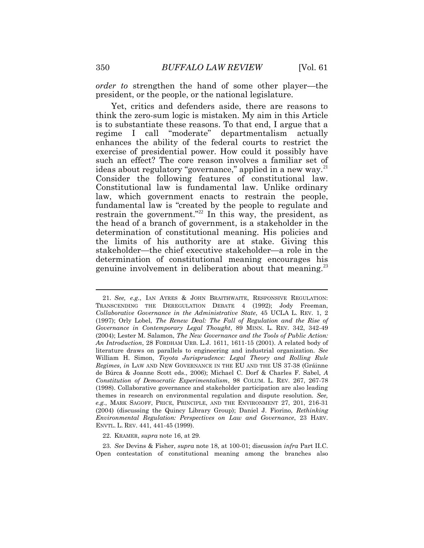*order to* strengthen the hand of some other player—the president, or the people, or the national legislature.

<span id="page-6-0"></span> Yet, critics and defenders aside, there are reasons to think the zero-sum logic is mistaken. My aim in this Article is to substantiate these reasons. To that end, I argue that a regime I call "moderate" departmentalism actually enhances the ability of the federal courts to restrict the exercise of presidential power. How could it possibly have such an effect? The core reason involves a familiar set of ideas about regulatory "governance," applied in a new way.<sup>21</sup> Consider the following features of constitutional law. Constitutional law is fundamental law. Unlike ordinary fundamental law is "created by the people to regulate and the head of a branch of government, is a stakeholder in the determination of constitutional meaning. His policies and the limits of his authority are at stake. Giving this determination of constitutional meaning encourages his law, which government enacts to restrain the people, restrain the government."<sup>22</sup> In this way, the president, as stakeholder—the chief executive stakeholder—a role in the genuine involvement in deliberation about that [meaning.](https://meaning.23)<sup>23</sup>

22. KRAMER, *supra* note [16,](#page-4-0) at 29.

 23. *See* Devins & Fisher, *supra* note [18,](#page-5-0) at 100-01; discussion *infra* Part II.C. Open contestation of constitutional meaning among the branches also

 21. *See, e.g.*, IAN AYRES & JOHN BRAITHWAITE, RESPONSIVE REGULATION: TRANSCENDING THE DEREGULATION DEBATE 4 (1992); Jody Freeman, *Collaborative Governance in the Administrative State*, 45 UCLA L. REV. 1, 2 (1997); Orly Lobel, *The Renew Deal: The Fall of Regulation and the Rise of Governance in Contemporary Legal Thought*, 89 MINN. L. REV. 342, 342-49 (2004); Lester M. Salamon, *The New Governance and the Tools of Public Action: An Introduction*, 28 FORDHAM URB. L.J. 1611, 1611-15 (2001). A related body of literature draws on parallels to engineering and industrial organization. *See*  William H. Simon, *Toyota Jurisprudence: Legal Theory and Rolling Rule Regimes*, *in* LAW AND NEW GOVERNANCE IN THE EU AND THE US 37-38 (Gráinne de Búrca & Joanne Scott eds., 2006); Michael C. Dorf & Charles F. Sabel, *A Constitution of Democratic Experimentalism*, 98 COLUM. L. REV. 267, 267-78 (1998). Collaborative governance and stakeholder participation are also leading *e.g.*, MARK SAGOFF, PRICE, PRINCIPLE, AND THE ENVIRONMENT 27, 201, 216-31 (2004) (discussing the Quincy Library Group); Daniel J. Fiorino, *Rethinking Environmental Regulation: Perspectives on Law and Governance*, 23 HARV. ENVTL. L. REV. 441, 441-45 (1999). themes in research on environmental regulation and dispute resolution. *See,*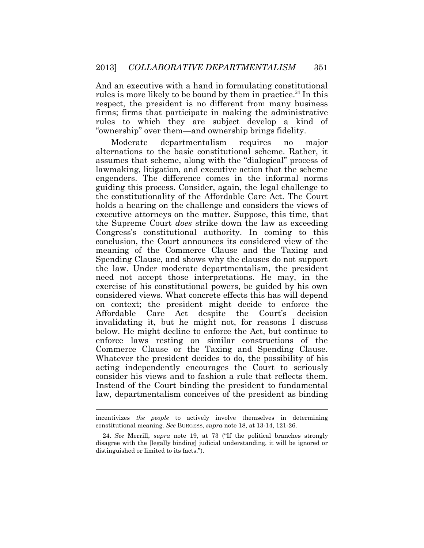rules is more likely to be bound by them in [practice.](https://practice.24)<sup>24</sup> In this firms; firms that participate in making the administrative rules to which they are subject develop a kind of And an executive with a hand in formulating constitutional respect, the president is no different from many business "ownership" over them—and ownership brings fidelity.

 assumes that scheme, along with the "dialogical" process of guiding this process. Consider, again, the legal challenge to the constitutionality of the Affordable Care Act. The Court executive attorneys on the matter. Suppose, this time, that conclusion, the Court announces its considered view of the the law. Under moderate departmentalism, the president exercise of his constitutional powers, be guided by his own considered views. What concrete effects this has will depend on context; the president might decide to enforce the enforce laws resting on similar constructions of the Whatever the president decides to do, the possibility of his Instead of the Court binding the president to fundamental law, departmentalism conceives of the president as binding Moderate departmentalism requires no major alternations to the basic constitutional scheme. Rather, it lawmaking, litigation, and executive action that the scheme engenders. The difference comes in the informal norms holds a hearing on the challenge and considers the views of the Supreme Court *does* strike down the law as exceeding Congress's constitutional authority. In coming to this meaning of the Commerce Clause and the Taxing and Spending Clause, and shows why the clauses do not support need not accept those interpretations. He may, in the Affordable Care Act despite the Court's decision invalidating it, but he might not, for reasons I discuss below. He might decline to enforce the Act, but continue to Commerce Clause or the Taxing and Spending Clause. acting independently encourages the Court to seriously consider his views and to fashion a rule that reflects them.

 incentivizes *the people* to actively involve themselves in determining constitutional meaning. *See* BURGESS, *supra* not[e 18,](#page-5-0) at 13-14, 121-26.

 disagree with the [legally binding] judicial understanding, it will be ignored or 24. *See* Merrill, *supra* note [19,](#page-5-1) at 73 ("If the political branches strongly distinguished or limited to its facts.").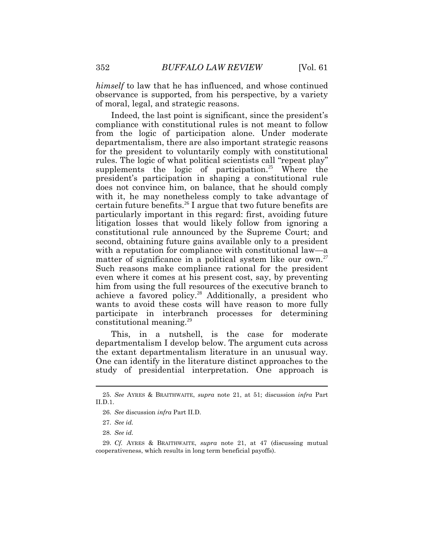*himself* to law that he has influenced, and whose continued observance is supported, from his perspective, by a variety of moral, legal, and strategic reasons.

 Indeed, the last point is significant, since the president's compliance with constitutional rules is not meant to follow from the logic of participation alone. Under moderate for the president to voluntarily comply with constitutional rules. The logic of what political scientists call "repeat play" supplements the logic of [participation.](https://participation.25)<sup>25</sup> Where the president's participation in shaping a constitutional rule does not convince him, on balance, that he should comply with it, he may nonetheless comply to take advantage of litigation losses that would likely follow from ignoring a constitutional rule announced by the Supreme Court; and second, obtaining future gains available only to a president matter of significance in a political system like our own.<sup>27</sup> Such reasons make compliance rational for the president him from using the full resources of the executive branch to achieve a favored [policy.](https://policy.28)<sup>28</sup> Additionally, a president who wants to avoid these costs will have reason to more fully participate in interbranch processes for determining constitutional [meaning.](https://meaning.29)<sup>29</sup> departmentalism, there are also important strategic reasons certain future [benefits.](https://benefits.26)<sup>26</sup> I argue that two future benefits are particularly important in this regard: first, avoiding future with a reputation for compliance with constitutional law—a even where it comes at his present cost, say, by preventing

 This, in a nutshell, is the case for moderate departmentalism I develop below. The argument cuts across the extant departmentalism literature in an unusual way. One can identify in the literature distinct approaches to the study of presidential interpretation. One approach is

 25. *See* AYRES & BRAITHWAITE, *supra* note [21,](#page-6-0) at 51; discussion *infra* Part II.D.1.

 26. *See* discussion *infra* Part II.D.

 27. *See id.* 

<sup>28.</sup> *See id.* 

 29. *Cf.* AYRES & BRAITHWAITE, *supra* note [21,](#page-6-0) at 47 (discussing mutual cooperativeness, which results in long term beneficial payoffs).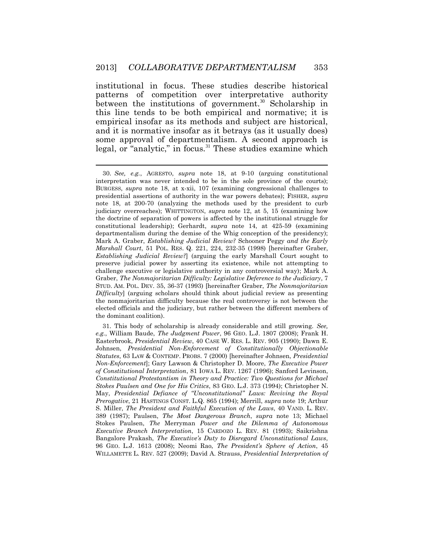<span id="page-9-1"></span>between the institutions of [government.](https://government.30)<sup>30</sup> Scholarship in this line tends to be both empirical and normative; it is empirical insofar as its methods and subject are historical, some approval of departmentalism. A second approach is legal, or "analytic," in [focus.](https://focus.31)<sup>31</sup> These studies examine which institutional in focus. These studies describe historical patterns of competition over interpretative authority and it is normative insofar as it betrays (as it usually does)

<span id="page-9-0"></span> 30. *See, e.g.*, AGRESTO, *supra* note [18,](#page-5-0) at 9-10 (arguing constitutional interpretation was never intended to be in the sole province of the courts); BURGESS, *supra* note [18,](#page-5-0) at x-xii, 107 (examining congressional challenges to presidential assertions of authority in the war powers debates); FISHER, *supra*  note [18,](#page-5-0) at 200-70 (analyzing the methods used by the president to curb judiciary overreaches); WHITTINGTON, *supra* note [12,](#page-3-0) at 5, 15 (examining how the doctrine of separation of powers is affected by the institutional struggle for constitutional leadership); Gerhardt, *supra* note [14,](#page-4-1) at 425-59 (examining departmentalism during the demise of the Whig conception of the presidency); Mark A. Graber, *Establishing Judicial Review?* Schooner Peggy *and the Early Marshall Court*, 51 POL. RES. Q. 221, 224, 232-35 (1998) [hereinafter Graber, *Establishing Judicial Review?*] (arguing the early Marshall Court sought to preserve judicial power by asserting its existence, while not attempting to challenge executive or legislative authority in any controversial way); Mark A. STUD. AM. POL. DEV. 35, 36-37 (1993) [hereinafter Graber, *The Nonmajoritarian Difficulty*] (arguing scholars should think about judicial review as presenting the nonmajoritarian difficulty because the real controversy is not between the elected officials and the judiciary, but rather between the different members of Graber, *The Nonmajoritarian Difficulty: Legislative Deference to the Judiciary*, 7 the dominant coalition).

 *e.g.*, William Baude, *The Judgment Power*, 96 GEO. L.J. 1807 (2008); Frank H. Easterbrook, *Presidential Review*, 40 CASE W. RES. L. REV. 905 (1990); Dawn E. *Statutes*, 63 LAW & CONTEMP. PROBS. 7 (2000) [hereinafter Johnsen, *Presidential Non-Enforcement*]; Gary Lawson & Christopher D. Moore, *The Executive Power of Constitutional Interpretation*, 81 IOWA L. REV. 1267 (1996); Sanford Levinson,  *Constitutional Protestantism in Theory and Practice: Two Questions for Michael Stokes Paulsen and One for His Critics*, 83 GEO. L.J. 373 (1994); Christopher N. *Prerogative*, 21 HASTINGS CONST. L.Q. 865 (1994); Merrill, *supra* note [19;](#page-5-1) Arthur  S. Miller, *The President and Faithful Execution of the Laws*, 40 VAND. L. REV. 389 (1987); Paulsen, *The Most Dangerous Branch*, *supra* note 13; Michael Stokes Paulsen, *The* Merryman *Power and the Dilemma of Autonomous*  Bangalore Prakash, *The Executive's Duty to Disregard Unconstitutional Laws*,  96 GEO. L.J. 1613 (2008); Neomi Rao, *The President's Sphere of Action*, 45 WILLAMETTE L. REV. 527 (2009); David A. Strauss, *Presidential Interpretation of* 31. This body of scholarship is already considerable and still growing. *See,*  Johnsen, *Presidential Non-Enforcement of Constitutionally Objectionable*  May, *Presidential Defiance of "Unconstitutional" Laws: Reviving the Royal Executive Branch Interpretation*, 15 CARDOZO L. REV. 81 (1993); Saikrishna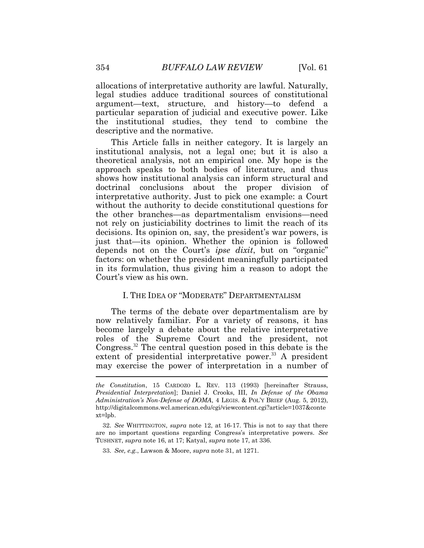allocations of interpretative authority are lawful. Naturally, legal studies adduce traditional sources of constitutional argument—text, structure, and history—to defend a particular separation of judicial and executive power. Like the institutional studies, they tend to combine the descriptive and the normative.

 This Article falls in neither category. It is largely an institutional analysis, not a legal one; but it is also a theoretical analysis, not an empirical one. My hope is the approach speaks to both bodies of literature, and thus shows how institutional analysis can inform structural and interpretative authority. Just to pick one example: a Court without the authority to decide constitutional questions for not rely on justiciability doctrines to limit the reach of its decisions. Its opinion on, say, the president's war powers, is just that—its opinion. Whether the opinion is followed in its formulation, thus giving him a reason to adopt the doctrinal conclusions about the proper division of the other branches—as departmentalism envisions—need depends not on the Court's *ipse dixit*, but on "organic" factors: on whether the president meaningfully participated Court's view as his own.

## I. THE IDEA OF "MODERATE" DEPARTMENTALISM

 now relatively familiar. For a variety of reasons, it has become largely a debate about the relative interpretative roles of the Supreme Court and the president, not [Congress.](https://Congress.32)<sup>32</sup> The central question posed in this debate is the extent of presidential interpretative power.<sup>33</sup> A president may exercise the power of interpretation in a number of The terms of the debate over departmentalism are by

 *the Constitution*, 15 CARDOZO L. REV. 113 (1993) [hereinafter Strauss, *Administration's Non-Defense of DOMA*, 4 LEGIS. & POL'Y BRIEF (Aug. 5, 2012), *Presidential Interpretation*]; Daniel J. Crooks, III, *In Defense of the Obama*  <http://digitalcommons.wcl.american.edu/cgi/viewcontent.cgi?article=1037&conte> xt=lpb.

 32. *See* WHITTINGTON, *supra* note 12, at 16-17. This is not to say that there are no important questions regarding Congress's interpretative powers. *See*  TUSHNET, *supra* note [16,](#page-4-0) at 17; Katyal, *supra* not[e 17,](#page-4-2) at 336.

 33. *See, e.g.*, Lawson & Moore, *supra* note 31, at 1271.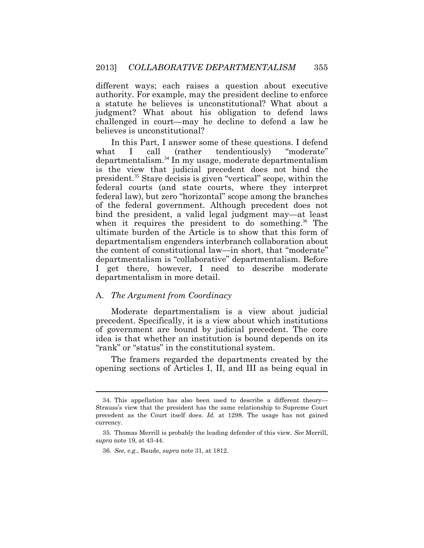different ways; each raises a question about executive a statute he believes is unconstitutional? What about a judgment? What about his obligation to defend laws challenged in court—may he decline to defend a law he authority. For example, may the president decline to enforce believes is unconstitutional?

 In this Part, I answer some of these questions. I defend  $\bf{I}$ [departmentalism.](https://departmentalism.34)<sup>34</sup> In my usage, moderate departmentalism is the view that judicial precedent does not bind the federal courts (and state courts, where they interpret of the federal government. Although precedent does not bind the president, a valid legal judgment may—at least when it requires the president to do [something.](https://something.36)<sup>36</sup> The what I call (rather tendentiously) "moderate" [president.](https://president.35)<sup>35</sup> Stare decisis is given "vertical" scope, within the federal law), but zero "horizontal" scope among the branches ultimate burden of the Article is to show that this form of departmentalism engenders interbranch collaboration about the content of constitutional law—in short, that "moderate" departmentalism is "collaborative" departmentalism. Before I get there, however, I need to describe moderate departmentalism in more detail.

#### A. *The Argument from Coordinacy*

 of government are bound by judicial precedent. The core "rank" or "status" in the constitutional system. Moderate departmentalism is a view about judicial precedent. Specifically, it is a view about which institutions idea is that whether an institution is bound depends on its

 The framers regarded the departments created by the opening sections of Articles I, II, and III as being equal in

 Strauss's view that the president has the same relationship to Supreme Court precedent as the Court itself does. *Id.* at 1298. The usage has not gained 34. This appellation has also been used to describe a different theory currency.

 *supra* note [19,](#page-5-1) at 43-44. 35. Thomas Merrill is probably the leading defender of this view. *See* Merrill,

 36. *See, e.g.*, Baude, *supra* not[e 31,](#page-9-0) at 1812.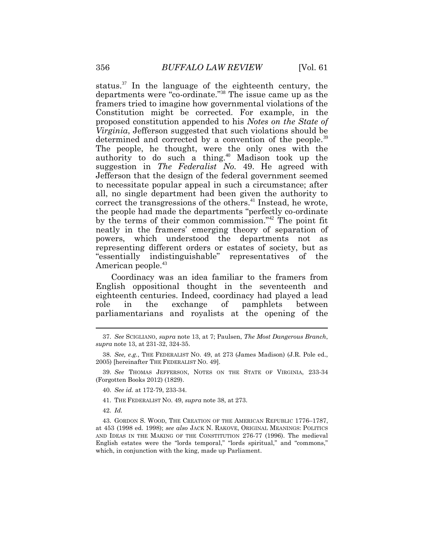departments were "co-ordinate." <sup>38</sup>The issue came up as the framers tried to imagine how governmental violations of the  proposed constitution appended to his *Notes on the State of Virginia*, Jefferson suggested that such violations should be determined and corrected by a convention of the [people.](https://people.39)<sup>39</sup> The people, he thought, were the only ones with the authority to do such a [thing.](https://thing.40)<sup>40</sup> Madison took up the suggestion in *The Federalist No.* 49. He agreed with to necessitate popular appeal in such a circumstance; after correct the transgressions of the [others.](https://others.41)<sup>41</sup> Instead, he wrote, by the terms of their common commission." $42$  The point fit neatly in the framers' emerging theory of separation of "essentially indistinguishable" representatives of the [status.](https://status.37)<sup>37</sup> In the language of the eighteenth century, the Constitution might be corrected. For example, in the Jefferson that the design of the federal government seemed all, no single department had been given the authority to the people had made the departments "perfectly co-ordinate powers, which understood the departments not as representing different orders or estates of society, but as American [people.](https://people.43)<sup>43</sup>

 Coordinacy was an idea familiar to the framers from eighteenth centuries. Indeed, coordinacy had played a lead parliamentarians and royalists at the opening of the English oppositional thought in the seventeenth and role in the exchange of pamphlets between

39. *See* THOMAS JEFFERSON, NOTES ON THE STATE OF VIRGINIA, 233-34 (Forgotten Books 2012) (1829).

- 40. *See id.* at 172-79, 233-34.
- 41. THE FEDERALIST NO. 49, *supra* note 38, at 273.
- 42. *Id.*

 $\overline{a}$ 

 at 453 (1998 ed. 1998); *see also* JACK N. RAKOVE, ORIGINAL MEANINGS: POLITICS AND IDEAS IN THE MAKING OF THE CONSTITUTION 276-77 (1996). The medieval English estates were the "lords temporal," "lords spiritual," and "commons," 43. GORDON S. WOOD, THE CREATION OF THE AMERICAN REPUBLIC 1776–1787, which, in conjunction with the king, made up Parliament.

 37. *See* SCIGLIANO, *supra* note [13,](#page-4-3) at 7; Paulsen, *The Most Dangerous Branch*, *supra* note 13, at 231-32, 324-35.

 38. *See, e.g.*, THE FEDERALIST NO. 49, at 273 (James Madison) (J.R. Pole ed., 2005) [hereinafter THE FEDERALIST NO. 49].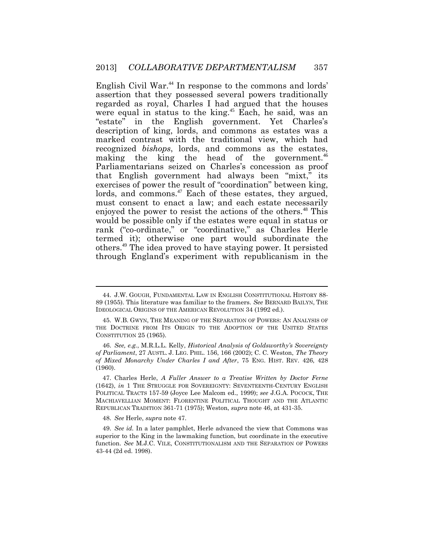English Civil War.<sup>44</sup> In response to the commons and lords' assertion that they possessed several powers traditionally were equal in status to the king.<sup>45</sup> Each, he said, was an description of king, lords, and commons as estates was a marked contrast with the traditional view, which had recognized *bishops*, lords, and commons as the estates, making the king the head of the [government.](https://government.46)<sup>46</sup> Parliamentarians seized on Charles's concession as proof that English government had always been "mixt," its exercises of power the result of "coordination" between king, lords, and commons.<sup>47</sup> Each of these estates, they argued, must consent to enact a law; and each estate necessarily enjoyed the power to resist the actions of the [others.](https://others.48)<sup>48</sup> This would be possible only if the estates were equal in status or rank ("co-ordinate," or "coordinative," as Charles Herle [others.](https://others.49)<sup>49</sup>The idea proved to have staying power. It persisted regarded as royal, Charles I had argued that the houses "estate" in the English government. Yet Charles's termed it); otherwise one part would subordinate the through England's experiment with republicanism in the

48. *See* Herle, *supra* note 47.

 89 (1955). This literature was familiar to the framers. *See* BERNARD BAILYN, THE IDEOLOGICAL ORIGINS OF THE AMERICAN REVOLUTION 34 (1992 ed.). 44. J.W. GOUGH, FUNDAMENTAL LAW IN ENGLISH CONSTITUTIONAL HISTORY 88-

 THE DOCTRINE FROM ITS ORIGIN TO THE ADOPTION OF THE UNITED STATES CONSTITUTION 25 (1965). 45. W.B. GWYN, THE MEANING OF THE SEPARATION OF POWERS: AN ANALYSIS OF

 *of Parliament*, 27 AUSTL. J. LEG. PHIL. 156, 166 (2002); C. C. Weston, *The Theory of Mixed Monarchy Under Charles I and After*, 75 ENG. HIST. REV. 426, 428 46. *See, e.g.*, M.R.L.L. Kelly, *Historical Analysis of Goldsworthy's Sovereignty* (1960).

 (1642), *in* 1 THE STRUGGLE FOR SOVEREIGNTY: SEVENTEENTH-CENTURY ENGLISH POLITICAL TRACTS 157-59 (Joyce Lee Malcom ed., 1999); *see* J.G.A. POCOCK, THE REPUBLICAN TRADITION 361-71 (1975); Weston, *supra* note 46, at 431-35. 47. Charles Herle, *A Fuller Answer to a Treatise Written by Doctor Ferne*  MACHIAVELLIAN MOMENT: FLORENTINE POLITICAL THOUGHT AND THE ATLANTIC

 49. *See id.* In a later pamphlet, Herle advanced the view that Commons was superior to the King in the lawmaking function, but coordinate in the executive function. *See* M.J.C. VILE, CONSTITUTIONALISM AND THE SEPARATION OF POWERS 43-44 (2d ed. 1998).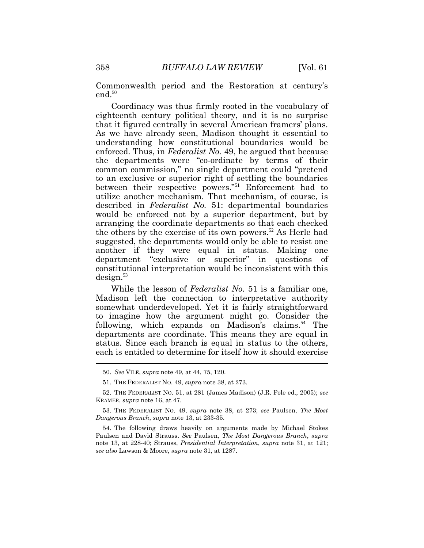Commonwealth period and the Restoration at century's end.<sup>50</sup>

 Coordinacy was thus firmly rooted in the vocabulary of eighteenth century political theory, and it is no surprise that it figured centrally in several American framers' plans. As we have already seen, Madison thought it essential to understanding how constitutional boundaries would be the departments were "co-ordinate by terms of their common commission," no single department could "pretend to an exclusive or superior right of settling the boundaries would be enforced not by a superior department, but by the others by the exercise of its own powers.<sup>52</sup> As Herle had suggested, the departments would only be able to resist one another if they were equal in status. Making one department "exclusive or superior" in questions of enforced. Thus, in *Federalist No.* 49, he argued that because between their respective powers."<sup>51</sup> Enforcement had to utilize another mechanism. That mechanism, of course, is described in *Federalist No.* 51: departmental boundaries arranging the coordinate departments so that each checked constitutional interpretation would be inconsistent with this  $design.<sup>53</sup>$  $design.<sup>53</sup>$ 

 While the lesson of *Federalist No.* 51 is a familiar one, to imagine how the argument might go. Consider the following, which expands on Madison's [claims.](https://claims.54)<sup>54</sup> The departments are coordinate. This means they are equal in status. Since each branch is equal in status to the others,  $\overline{a}$ Madison left the connection to interpretative authority somewhat underdeveloped. Yet it is fairly straightforward each is entitled to determine for itself how it should exercise

<sup>50.</sup> *See* VILE, *supra* note 49, at 44, 75, 120.

<sup>51.</sup> THE FEDERALIST NO. 49, *supra* note 38, at 273.

 KRAMER, *supra* note [16,](#page-4-0) at 47. 52. THE FEDERALIST NO. 51, at 281 (James Madison) (J.R. Pole ed., 2005); *see* 

 53. THE FEDERALIST NO. 49, *supra* note 38, at 273; *see* Paulsen, *The Most Dangerous Branch*, *supra* note 13, at 233-35.

 Paulsen and David Strauss. *See* Paulsen, *The Most Dangerous Branch*, *supra*  note 13, at 228-40; Strauss, *Presidential Interpretation*, *supra* note [31,](#page-9-0) at 121; *see also* Lawson & Moore, *supra* note [31,](#page-9-0) at 1287. 54. The following draws heavily on arguments made by Michael Stokes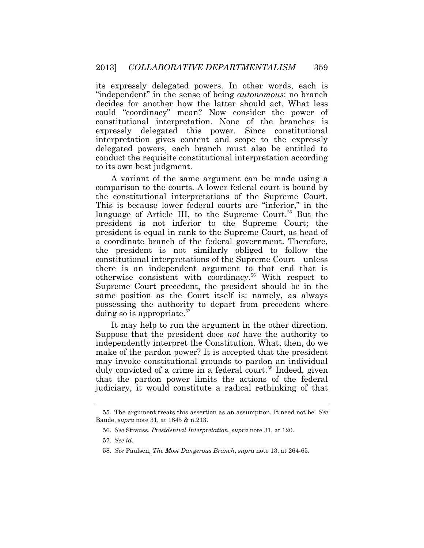its expressly delegated powers. In other words, each is "independent" in the sense of being *autonomous*: no branch decides for another how the latter should act. What less could "coordinacy" mean? Now consider the power of constitutional interpretation. None of the branches is delegated powers, each branch must also be entitled to expressly delegated this power. Since constitutional interpretation gives content and scope to the expressly conduct the requisite constitutional interpretation according to its own best judgment.

 comparison to the courts. A lower federal court is bound by the constitutional interpretations of the Supreme Court. This is because lower federal courts are "inferior," in the language of Article III, to the Supreme [Court.](https://Court.55)<sup>55</sup> But the president is equal in rank to the Supreme Court, as head of the president is not similarly obliged to follow the constitutional interpretations of the Supreme Court—unless otherwise consistent with [coordinacy.](https://coordinacy.56)<sup>56</sup> With respect to Supreme Court precedent, the president should be in the A variant of the same argument can be made using a president is not inferior to the Supreme Court; the a coordinate branch of the federal government. Therefore, there is an independent argument to that end that is same position as the Court itself is: namely, as always possessing the authority to depart from precedent where doing so is [appropriate.](https://appropriate.57)<sup>57</sup>

 It may help to run the argument in the other direction. Suppose that the president does *not* have the authority to make of the pardon power? It is accepted that the president duly convicted of a crime in a federal [court.](https://court.58)<sup>58</sup> Indeed, given that the pardon power limits the actions of the federal judiciary, it would constitute a radical rethinking of that independently interpret the Constitution. What, then, do we may invoke constitutional grounds to pardon an individual

 Baude, *supra* not[e 31,](#page-9-0) at 1845 & n.213. 55. The argument treats this assertion as an assumption. It need not be. *See* 

<sup>56.</sup> *See* Strauss, *Presidential Interpretation*, *supra* note [31,](#page-9-0) at 120.

 57. *See id.* 

 58. *See* Paulsen, *The Most Dangerous Branch*, *supra* note 13, at 264-65.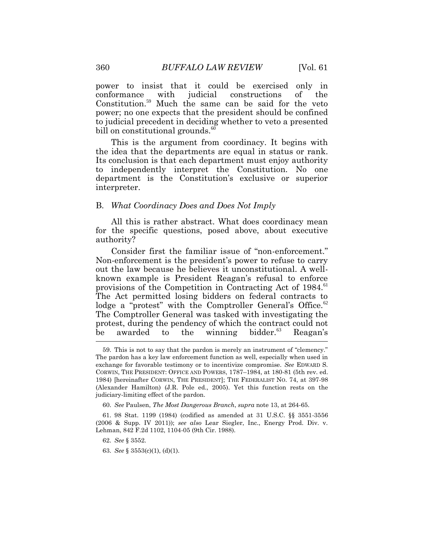power to insist that it could be exercised only in conformance with judicial constructions of the [Constitution.](https://Constitution.59)<sup>59</sup> Much the same can be said for the veto power; no one expects that the president should be confined to judicial precedent in deciding whether to veto a presented bill on constitutional [grounds.](https://grounds.60) $60$ 

 This is the argument from coordinacy. It begins with the idea that the departments are equal in status or rank. Its conclusion is that each department must enjoy authority department is the Constitution's exclusive or superior to independently interpret the Constitution. No one interpreter.

#### B. *What Coordinacy Does and Does Not Imply*

 All this is rather abstract. What does coordinacy mean authority? for the specific questions, posed above, about executive

 Consider first the familiar issue of "non-enforcement." out the law because he believes it unconstitutional. A well- known example is President Reagan's refusal to enforce provisions of the Competition in Contracting Act of 1984.<sup>61</sup> The Comptroller General was tasked with investigating the protest, during the pendency of which the contract could not be Non-enforcement is the president's power to refuse to carry The Act permitted losing bidders on federal contracts to lodge a "protest" with the Comptroller General's [Office.](https://Office.62)<sup>62</sup> awarded to the winning [bidder.](https://bidder.63)<sup>63</sup> Reagan's

 60. *See* Paulsen, *The Most Dangerous Branch*, *supra* note 13, at 264-65.

 (2006 & Supp. IV 2011)); *see also* Lear Siegler, Inc., Energy Prod. Div. v. 61. 98 Stat. 1199 (1984) (codified as amended at 31 U.S.C. §§ 3551-3556 Lehman, 842 F.2d 1102, 1104-05 (9th Cir. 1988).

62. *See* § 3552.

 63. *See* § 3553(c)(1), (d)(1).

 The pardon has a key law enforcement function as well, especially when used in exchange for favorable testimony or to incentivize compromise. *See* EDWARD S. CORWIN, THE PRESIDENT: OFFICE AND POWERS, 1787–1984, at 180-81 (5th rev. ed. (Alexander Hamilton) (J.R. Pole ed., 2005). Yet this function rests on the 59. This is not to say that the pardon is merely an instrument of "clemency." 1984) [hereinafter CORWIN, THE PRESIDENT]; THE FEDERALIST NO. 74, at 397-98 judiciary-limiting effect of the pardon.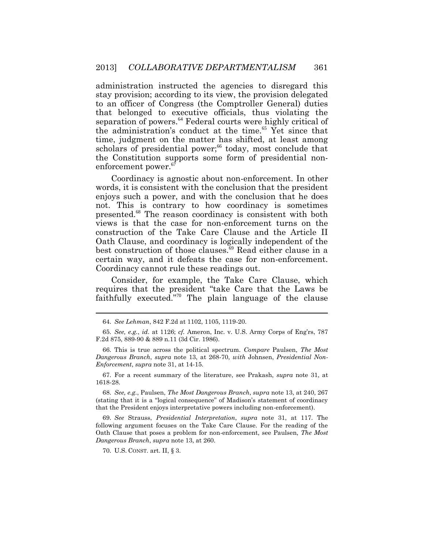administration instructed the agencies to disregard this stay provision; according to its view, the provision delegated to an officer of Congress (the Comptroller General) duties separation of powers.<sup>64</sup> Federal courts were highly critical of the administration's conduct at the time.<sup>65</sup> Yet since that scholars of presidential power;<sup>66</sup> today, most conclude that that belonged to executive officials, thus violating the time, judgment on the matter has shifted, at least among the Constitution supports some form of presidential nonenforcement power.<sup>67</sup>

 enjoys such a power, and with the conclusion that he does views is that the case for non-enforcement turns on the Oath Clause, and coordinacy is logically independent of the Coordinacy cannot rule these readings out. Coordinacy is agnostic about non-enforcement. In other words, it is consistent with the conclusion that the president not. This is contrary to how coordinacy is sometimes [presented.](https://presented.68)<sup>68</sup> The reason coordinacy is consistent with both construction of the Take Care Clause and the Article II best construction of those [clauses.](https://clauses.69)<sup>69</sup> Read either clause in a certain way, and it defeats the case for non-enforcement.

Consider, for example, the Take Care Clause, which requires that the president "take Care that the Laws be faithfully executed. $n^{70}$  The plain language of the clause

67. For a recent summary of the literature, see Prakash, *supra* note [31,](#page-9-0) at 1618-28.

 68. *See, e.g.*, Paulsen, *The Most Dangerous Branch*, *supra* note 13, at 240, 267 (stating that it is a "logical consequence" of Madison's statement of coordinacy that the President enjoys interpretative powers including non-enforcement).

 following argument focuses on the Take Care Clause. For the reading of the Oath Clause that poses a problem for non-enforcement, see Paulsen, *The Most*  69. *See* Strauss, *Presidential Interpretation*, *supra* note [31,](#page-9-0) at 117. The *Dangerous Branch*, *supra* note 13, at 260.

70. U.S. CONST. art. II, § 3.

<sup>64.</sup> *See Lehman*, 842 F.2d at 1102, 1105, 1119-20.

 65. *See, e.g.*, *id*. at 1126; *cf.* Ameron, Inc. v. U.S. Army Corps of Eng'rs, 787 F.2d 875, 889-90 & 889 n.11 (3d Cir. 1986).

 *Dangerous Branch*, *supra* note 13, at 268-70, *with* Johnsen, *Presidential Non- Enforcement*, *supra* note [31,](#page-9-0) at 14-15. 66. This is true across the political spectrum. *Compare* Paulsen, *The Most*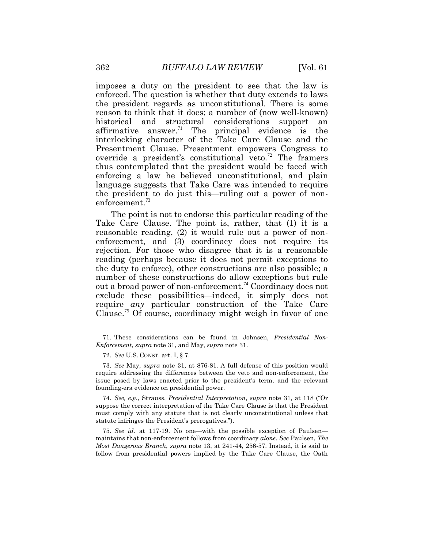imposes a duty on the president to see that the law is enforced. The question is whether that duty extends to laws reason to think that it does; a number of (now well-known) historical affirmative answer.<sup>71</sup> The principal evidence is the thus contemplated that the president would be faced with enforcing a law he believed unconstitutional, and plain language suggests that Take Care was intended to require the president to do just this—ruling out a power of nonthe president regards as unconstitutional. There is some and structural considerations support an interlocking character of the Take Care Clause and the Presentment Clause. Presentment empowers Congress to override a president's constitutional veto.<sup>72</sup> The framers [enforcement.](https://enforcement.73)<sup>73</sup>

 The point is not to endorse this particular reading of the Take Care Clause. The point is, rather, that (1) it is a reasonable reading, (2) it would rule out a power of non- enforcement, and (3) coordinacy does not require its rejection. For those who disagree that it is a reasonable reading (perhaps because it does not permit exceptions to the duty to enforce), other constructions are also possible; a number of these constructions do allow exceptions but rule exclude these possibilities—indeed, it simply does not [Clause.](https://Clause.75)<sup>75</sup> Of course, coordinacy might weigh in favor of one out a broad power of [non-enforcement.](https://non-enforcement.74)<sup>74</sup>Coordinacy does not require *any* particular construction of the Take Care

 74. *See, e.g.*, Strauss, *Presidential Interpretation*, *supra* note [31](#page-9-0), at 118 ("Or suppose the correct interpretation of the Take Care Clause is that the President must comply with any statute that is not clearly unconstitutional unless that statute infringes the President's prerogatives.").

 75. *See id.* at 117-19. No one—with the possible exception of Paulsen— maintains that non-enforcement follows from coordinacy *alone*. *See* Paulsen, *The Most Dangerous Branch*, *supra* note 13, at 241-44, 256-57. Instead, it is said to follow from presidential powers implied by the Take Care Clause, the Oath

 *Enforcement*, *supra* note [31,](#page-9-0) and May, *supra* not[e 31.](#page-9-0) 71. These considerations can be found in Johnsen, *Presidential Non-*

 72. *See* U.S. CONST. art. I, § 7.

 73. *See* May, *supra* note [31,](#page-9-0) at 876-81. A full defense of this position would require addressing the differences between the veto and non-enforcement, the issue posed by laws enacted prior to the president's term, and the relevant founding-era evidence on presidential power.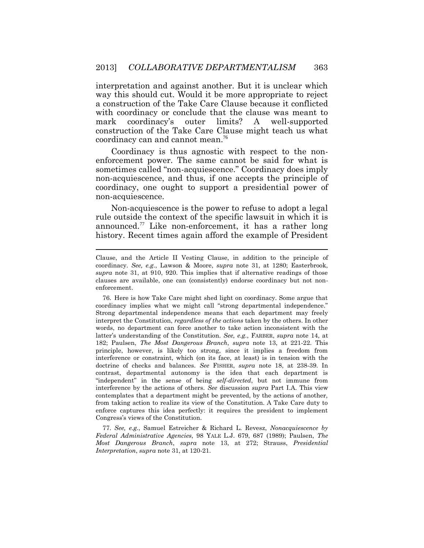interpretation and against another. But it is unclear which a construction of the Take Care Clause because it conflicted coordinacy's construction of the Take Care Clause might teach us what way this should cut. Would it be more appropriate to reject with coordinacy or conclude that the clause was meant to mark coordinacy's outer limits? A well-supported coordinacy can and cannot mean. <sup>76</sup>

 Coordinacy is thus agnostic with respect to the non- enforcement power. The same cannot be said for what is coordinacy, one ought to support a presidential power of sometimes called "non-acquiescence." Coordinacy does imply non-acquiescence, and thus, if one accepts the principle of non-acquiescence.

 Non-acquiescence is the power to refuse to adopt a legal [announced.](https://announced.77)<sup>77</sup> Like non-enforcement, it has a rather long rule outside the context of the specific lawsuit in which it is history. Recent times again afford the example of President

 coordinacy implies what we might call "strong departmental independence." Strong departmental independence means that each department may freely words, no department can force another to take action inconsistent with the latter's understanding of the Constitution. *See, e.g.*, FARBER, *supra* note [14,](#page-4-1) at 182; Paulsen, *The Most Dangerous Branch*, *supra* note 13, at 221-22. This principle, however, is likely too strong, since it implies a freedom from interference or constraint, which (on its face, at least) is in tension with the doctrine of checks and balances. *See* FISHER, *supra* note [18,](#page-5-0) at 238-39. In contrast, departmental autonomy is the idea that each department is "independent" in the sense of being *self-directed*, but not immune from interference by the actions of others. *See* discussion *supra* Part I.A. This view contemplates that a department might be prevented, by the actions of another, from taking action to realize its view of the Constitution. A Take Care duty to enforce captures this idea perfectly: it requires the president to implement 76. Here is how Take Care might shed light on coordinacy. Some argue that interpret the Constitution, *regardless of the actions* taken by the others. In other Congress's views of the Constitution.

 77. *See, e.g.*, Samuel Estreicher & Richard L. Revesz, *Nonacquiescence by Federal Administrative Agencies*, 98 YALE L.J. 679, 687 (1989); Paulsen, *The Most Dangerous Branch*, *supra* note 13, at 272; Strauss, *Presidential Interpretation*, *supra* note [31,](#page-9-0) at 120-21.

 Clause, and the Article II Vesting Clause, in addition to the principle of coordinacy. *See, e.g.*, Lawson & Moore, *supra* note 31, at 1280; Easterbrook, *supra* note 31, at 910, 920. This implies that if alternative readings of those clauses are available, one can (consistently) endorse coordinacy but not nonenforcement.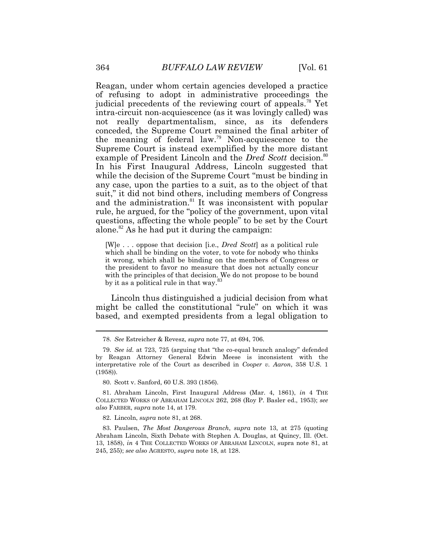Reagan, under whom certain agencies developed a practice judicial precedents of the reviewing court of [appeals.](https://appeals.78)<sup>78</sup> Yet not really departmentalism, since, as its defenders conceded, the Supreme Court remained the final arbiter of the meaning of federal law.<sup>79</sup> Non-acquiescence to the example of President Lincoln and the *Dred Scott* [decision.](https://decision.80)<sup>80</sup> any case, upon the parties to a suit, as to the object of that suit," it did not bind others, including members of Congress and the [administration.](https://administration.81) $81$  It was inconsistent with popular questions, affecting the whole people" to be set by the Court of refusing to adopt in administrative proceedings the intra-circuit non-acquiescence (as it was lovingly called) was Supreme Court is instead exemplified by the more distant In his First Inaugural Address, Lincoln suggested that while the decision of the Supreme Court "must be binding in rule, he argued, for the "policy of the government, upon vital [alone.](https://alone.82)<sup>82</sup> As he had put it during the campaign:

 [W]e . . . oppose that decision [i.e., *Dred Scott*] as a political rule which shall be binding on the voter, to vote for nobody who thinks it wrong, which shall be binding on the members of Congress or the president to favor no measure that does not actually concur with the principles of that decision. We do not propose to be bound by it as a political rule in that way.<sup>83</sup>

 Lincoln thus distinguished a judicial decision from what based, and exempted presidents from a legal obligation to might be called the constitutional "rule" on which it was

82. Lincoln, *supra* note 81, at 268.

 Abraham Lincoln, Sixth Debate with Stephen A. Douglas, at Quincy, Ill. (Oct. 13, 1858), *in* 4 THE COLLECTED WORKS OF ABRAHAM LINCOLN, supra note 81, at 245, 255); *see also* AGRESTO, *supra* note [18,](#page-5-0) at 128. 83. Paulsen, *The Most Dangerous Branch*, *supra* note 13, at 275 (quoting

 78. *See* Estreicher & Revesz, *supra* note 77, at 694, 706.

 79. *See id.* at 723, 725 (arguing that "the co-equal branch analogy" defended by Reagan Attorney General Edwin Meese is inconsistent with the interpretative role of the Court as described in *Cooper v. Aaron*, 358 U.S. 1 (1958)).

<sup>80.</sup> Scott v. Sanford, 60 U.S. 393 (1856).

 COLLECTED WORKS OF ABRAHAM LINCOLN 262, 268 (Roy P. Basler ed., 1953); *see also* FARBER, *supra* not[e 14,](#page-4-1) at 179. 81. Abraham Lincoln, First Inaugural Address (Mar. 4, 1861), *in* 4 THE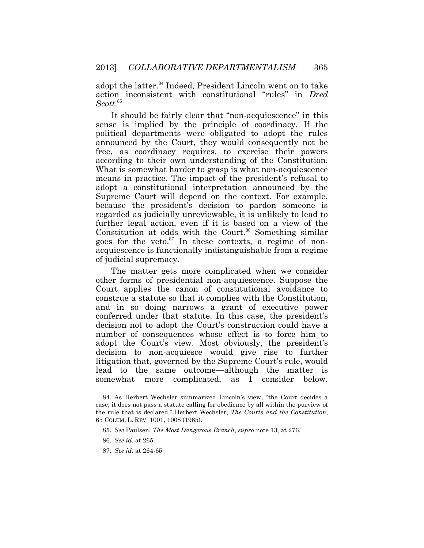adopt the [latter.](https://latter.84)<sup>84</sup> Indeed, President Lincoln went on to take action inconsistent with constitutional "rules" in *Dred*  Scott.<sup>85</sup>

 It should be fairly clear that "non-acquiescence" in this sense is implied by the principle of coordinacy. If the political departments were obligated to adopt the rules announced by the Court, they would consequently not be free, as coordinacy requires, to exercise their powers means in practice. The impact of the president's refusal to adopt a constitutional interpretation announced by the Supreme Court will depend on the context. For example, regarded as judicially unreviewable, it is unlikely to lead to further legal action, even if it is based on a view of the Constitution at odds with the [Court.](https://Court.86) $86$  Something similar goes for the veto. $87$  In these contexts, a regime of non- acquiescence is functionally indistinguishable from a regime according to their own understanding of the Constitution. What is somewhat harder to grasp is what non-acquiescence because the president's decision to pardon someone is of judicial supremacy.

 The matter gets more complicated when we consider other forms of presidential non-acquiescence. Suppose the construe a statute so that it complies with the Constitution, and in so doing narrows a grant of executive power conferred under that statute. In this case, the president's decision not to adopt the Court's construction could have a number of consequences whose effect is to force him to  $\mathbf I$ Court applies the canon of constitutional avoidance to adopt the Court's view. Most obviously, the president's decision to non-acquiesce would give rise to further litigation that, governed by the Supreme Court's rule, would lead to the same outcome—although the matter is somewhat more complicated, as I consider below.

 case; it does not pass a statute calling for obedience by all within the purview of the rule that is declared." Herbert Wechsler, *The Courts and the Constitution*, 65 COLUM. L. REV. 1001, 1008 (1965). 84. As Herbert Wechsler summarized Lincoln's view, "the Court decides a

 85. *See* Paulsen, *The Most Dangerous Branch*, *supra* note 13, at 276.

 86. *See id.* at 265.

 87. *See id.* at 264-65.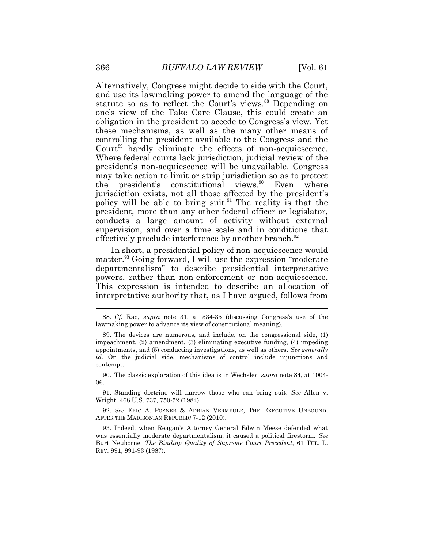and use its lawmaking power to amend the language of the one's view of the Take Care Clause, this could create an these mechanisms, as well as the many other means of controlling the president available to the Congress and the Court<sup>89</sup> hardly eliminate the effects of non-acquiescence. Where federal courts lack jurisdiction, judicial review of the may take action to limit or strip jurisdiction so as to protect jurisdiction exists, not all those affected by the president's policy will be able to bring suit.<sup>91</sup> The reality is that the president, more than any other federal officer or legislator, conducts a large amount of activity without external supervision, and over a time scale and in conditions that Alternatively, Congress might decide to side with the Court, statute so as to reflect the Court's [views.](https://views.88)<sup>88</sup> Depending on obligation in the president to accede to Congress's view. Yet president's non-acquiescence will be unavailable. Congress the president's constitutional [views.](https://views.90)<sup>90</sup> Even where effectively preclude interference by another [branch.](https://branch.92)<sup>92</sup>

In short, a presidential policy of non-acquiescence would [matter.](https://matter.93)<sup>93</sup> Going forward, I will use the expression "moderate" departmentalism" to describe presidential interpretative powers, rather than non-enforcement or non-acquiescence. This expression is intended to describe an allocation of interpretative authority that, as I have argued, follows from

90. The classic exploration of this idea is in Wechsler, *supra* note 84, at 1004- 06.

91. Standing doctrine will narrow those who can bring suit. *See* Allen v. Wright, 468 U.S. 737, 750-52 (1984).

 92. *See* ERIC A. POSNER & ADRIAN VERMEULE, THE EXECUTIVE UNBOUND: AFTER THE MADISONIAN REPUBLIC 7-12 (2010).

 was essentially moderate departmentalism, it caused a political firestorm. *See*  Burt Neuborne, *The Binding Quality of Supreme Court Precedent*, 61 TUL. L. 93. Indeed, when Reagan's Attorney General Edwin Meese defended what REV. 991, 991-93 (1987).

 88. *Cf.* Rao, *supra* note [31,](#page-9-0) at 534-35 (discussing Congress's use of the lawmaking power to advance its view of constitutional meaning).

 appointments, and (5) conducting investigations, as well as others. *See generally id.* On the judicial side, mechanisms of control include injunctions and 89. The devices are numerous, and include, on the congressional side, (1) impeachment, (2) amendment, (3) eliminating executive funding, (4) impeding contempt.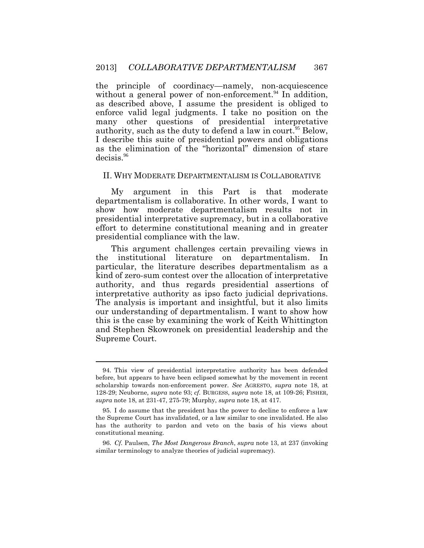without a general power of [non-enforcement.](https://non-enforcement.94) $94$  In addition, as described above, I assume the president is obliged to enforce valid legal judgments. I take no position on the many other questions of presidential interpretative authority, such as the duty to defend a law in [court.](https://court.95)<sup>95</sup> Below, I describe this suite of presidential powers and obligations the principle of coordinacy—namely, non-acquiescence as the elimination of the "horizontal" dimension of stare [decisis.](https://decisis.96)<sup>96</sup>

#### II. WHY MODERATE DEPARTMENTALISM IS COLLABORATIVE

 effort to determine constitutional meaning and in greater My argument in this Part is that moderate departmentalism is collaborative. In other words, I want to show how moderate departmentalism results not in presidential interpretative supremacy, but in a collaborative presidential compliance with the law.

 authority, and thus regards presidential assertions of interpretative authority as ipso facto judicial deprivations. this is the case by examining the work of Keith Whittington and Stephen Skowronek on presidential leadership and the This argument challenges certain prevailing views in the institutional literature on departmentalism. In particular, the literature describes departmentalism as a kind of zero-sum contest over the allocation of interpretative The analysis is important and insightful, but it also limits our understanding of departmentalism. I want to show how Supreme Court.

 before, but appears to have been eclipsed somewhat by the movement in recent scholarship towards non-enforcement power. *See* AGRESTO, *supra* note [18,](#page-5-0) at 128-29; Neuborne*, supra* note 93; *cf.* BURGESS, *supra* note [18,](#page-5-0) at 109-26; FISHER, *supra* note [18,](#page-5-0) at 231-47, 275-79; Murphy, *supra* note 18, at 417. 94. This view of presidential interpretative authority has been defended

 the Supreme Court has invalidated, or a law similar to one invalidated. He also has the authority to pardon and veto on the basis of his views about 95. I do assume that the president has the power to decline to enforce a law constitutional meaning.

 96. *Cf.* Paulsen, *The Most Dangerous Branch*, *supra* note 13, at 237 (invoking similar terminology to analyze theories of judicial supremacy).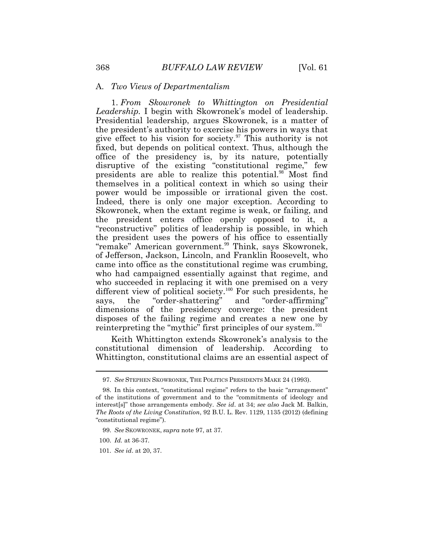#### A. *Two Views of Departmentalism*

 1. *From Skowronek to Whittington on Presidential Leadership.* I begin with Skowronek's model of leadership. Presidential leadership, argues Skowronek, is a matter of give effect to his vision for [society.](https://society.97)<sup>97</sup> This authority is not fixed, but depends on political context. Thus, although the office of the presidency is, by its nature, potentially themselves in a political context in which so using their power would be impossible or irrational given the cost. Indeed, there is only one major exception. According to Skowronek, when the extant regime is weak, or failing, and the president enters office openly opposed to it, a the president uses the powers of his office to essentially of Jefferson, Jackson, Lincoln, and Franklin Roosevelt, who who had campaigned essentially against that regime, and who succeeded in replacing it with one premised on a very  $\ddot{\phantom{0}}$  dimensions of the presidency converge: the president disposes of the failing regime and creates a new one by the president's authority to exercise his powers in ways that disruptive of the existing "constitutional regime," few presidents are able to realize this [potential.](https://potential.98)<sup>98</sup> Most find "reconstructive" politics of leadership is possible, in which "remake" American [government.](https://government.99)<sup>99</sup> Think, says Skowronek, came into office as the constitutional regime was crumbing, different view of political society.<sup>100</sup> For such presidents, he says, the "order-shattering" and "order-affirming" reinterpreting the "mythic" first principles of our system.<sup>101</sup>

 Whittington, constitutional claims are an essential aspect of Keith Whittington extends Skowronek's analysis to the constitutional dimension of leadership. According to

<sup>97.</sup> *See* STEPHEN SKOWRONEK, THE POLITICS PRESIDENTS MAKE 24 (1993).

 of the institutions of government and to the "commitments of ideology and  interest[s]" those arrangements embody. *See id*. at 34; *see also* Jack M. Balkin, *The Roots of the Living Constitution*, 92 B.U. L. Rev. 1129, 1135 (2012) (defining 98. In this context, "constitutional regime" refers to the basic "arrangement" "constitutional regime").

<sup>99.</sup> *See* SKOWRONEK, *supra* note 97, at 37.

 100. *Id.* at 36-37.

<sup>101.</sup> *See id*. at 20, 37.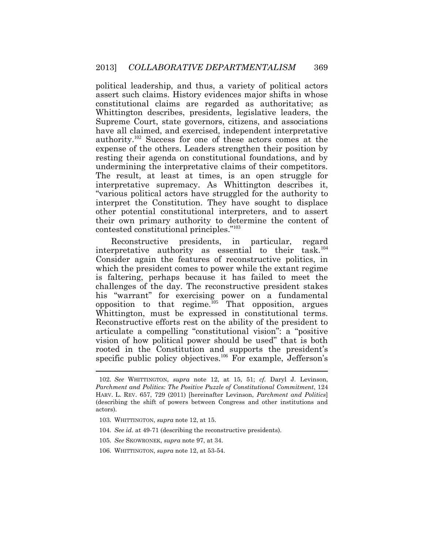political leadership, and thus, a variety of political actors assert such claims. History evidences major shifts in whose constitutional claims are regarded as authoritative; as authority.<sup>102</sup> Success for one of these actors comes at the expense of the others. Leaders strengthen their position by resting their agenda on constitutional foundations, and by undermining the interpretative claims of their competitors. interpretative supremacy. As Whittington describes it, "various political actors have struggled for the authority to other potential constitutional interpreters, and to assert their own primary authority to determine the content of Whittington describes, presidents, legislative leaders, the Supreme Court, state governors, citizens, and associations have all claimed, and exercised, independent interpretative The result, at least at times, is an open struggle for interpret the Constitution. They have sought to displace contested constitutional principles."<sup>103</sup>

interpretative authority as essential to their task.<sup>104</sup> Consider again the features of reconstructive politics, in Whittington, must be expressed in constitutional terms. Reconstructive efforts rest on the ability of the president to articulate a compelling "constitutional vision": a "positive rooted in the Constitution and supports the president's specific public policy objectives.<sup>106</sup> For example, Jefferson's Reconstructive presidents, in particular, regard which the president comes to power while the extant regime is faltering, perhaps because it has failed to meet the challenges of the day. The reconstructive president stakes his "warrant" for exercising power on a fundamental opposition to that regime.<sup>105</sup> That opposition, argues vision of how political power should be used" that is both

- 104. *See id.* at 49-71 (describing the reconstructive presidents).
- 105. *See* SKOWRONEK, *supra* note 97, at 34.
- 106. WHITTINGTON, *supra* not[e 12,](#page-3-0) at 53-54.

 *Parchment and Politics: The Positive Puzzle of Constitutional Commitment*, 124 HARV. L. REV. 657, 729 (2011) [hereinafter Levinson, *Parchment and Politics*] (describing the shift of powers between Congress and other institutions and 102. *See* WHITTINGTON, *supra* note [12,](#page-3-0) at 15, 51; *cf.* Daryl J. Levinson, actors).

<sup>103.</sup> WHITTINGTON, *supra* not[e 12,](#page-3-0) at 15.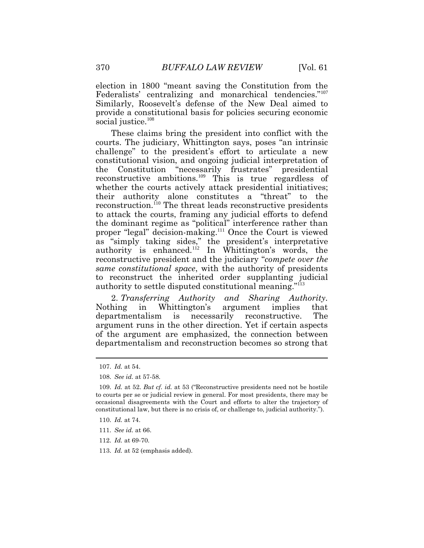election in 1800 "meant saving the Constitution from the Similarly, Roosevelt's defense of the New Deal aimed to provide a constitutional basis for policies securing economic social justice.<sup>108</sup> Federalists' centralizing and monarchical tendencies."<sup>107</sup>

 courts. The judiciary, Whittington says, poses "an intrinsic challenge" to the president's effort to articulate a new whether the courts actively attack presidential initiatives; to attack the courts, framing any judicial efforts to defend the dominant regime as "political" interference rather than  reconstructive president and the judiciary "*compete over the same constitutional space*, with the authority of presidents to reconstruct the inherited order supplanting judicial authority to settle disputed constitutional meaning."<sup>113</sup> These claims bring the president into conflict with the constitutional vision, and ongoing judicial interpretation of the Constitution "necessarily frustrates" presidential reconstructive ambitions.<sup>109</sup> This is true regardless of their authority alone constitutes a "threat" to the reconstruction.<sup>110</sup> The threat leads reconstructive presidents proper "legal" decision-making.<sup>111</sup> Once the Court is viewed as "simply taking sides," the president's interpretative authority is enhanced.<sup>112</sup> In Whittington's words, the

 2. *Transferring Authority and Sharing Authority.*  argument departmentalism is necessarily reconstructive. The argument runs in the other direction. Yet if certain aspects Nothing in Whittington's argument implies that of the argument are emphasized, the connection between departmentalism and reconstruction becomes so strong that

- 111. *See id.* at 66.
- 112. *Id.* at 69-70.
- 113. *Id.* at 52 (emphasis added).

 107. *Id.* at 54.

 108. *See id.* at 57-58.

 109. *Id.* at 52. *But cf. id.* at 53 ("Reconstructive presidents need not be hostile to courts per se or judicial review in general. For most presidents, there may be occasional disagreements with the Court and efforts to alter the trajectory of constitutional law, but there is no crisis of, or challenge to, judicial authority.").

 110. *Id.* at 74.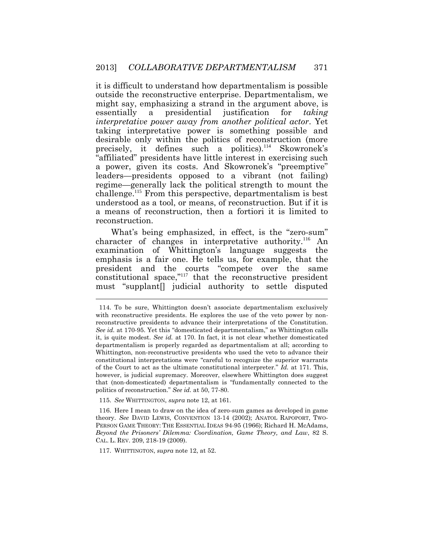might say, emphasizing a strand in the argument above, is essentially  *interpretative power away from another political actor*. Yet precisely, it defines such a politics).<sup>114</sup> Skowronek's "affiliated" presidents have little interest in exercising such leaders—presidents opposed to a vibrant (not failing) regime—generally lack the political strength to mount the understood as a tool, or means, of reconstruction. But if it is a means of reconstruction, then a fortiori it is limited to it is difficult to understand how departmentalism is possible outside the reconstructive enterprise. Departmentalism, we a presidential justification for *taking* taking interpretative power is something possible and desirable only within the politics of reconstruction (more a power, given its costs. And Skowronek's "preemptive" challenge.<sup>115</sup> From this perspective, departmentalism is best reconstruction.

<span id="page-27-0"></span> emphasis is a fair one. He tells us, for example, that the president and the courts "compete over the same constitutional space, $\frac{n}{17}$  that the reconstructive president must "supplant[] judicial authority to settle disputed What's being emphasized, in effect, is the "zero-sum" character of changes in interpretative authority.<sup>116</sup> An examination of Whittington's language suggests the

115. *See* WHITTINGTON, *supra* note [12,](#page-3-0) at 161.

 $\overline{a}$ 

117. WHITTINGTON, *supra* not[e 12,](#page-3-0) at 52.

 with reconstructive presidents. He explores the use of the veto power by non- reconstructive presidents to advance their interpretations of the Constitution. *See id.* at 170-95. Yet this "domesticated departmentalism," as Whittington calls it, is quite modest. *See id.* at 170. In fact, it is not clear whether domesticated departmentalism is properly regarded as departmentalism at all; according to Whittington, non-reconstructive presidents who used the veto to advance their constitutional interpretations were "careful to recognize the superior warrants of the Court to act as the ultimate constitutional interpreter." *Id.* at 171. This, however, is judicial supremacy. Moreover, elsewhere Whittington does suggest that (non-domesticated) departmentalism is "fundamentally connected to the 114. To be sure, Whittington doesn't associate departmentalism exclusively politics of reconstruction." *See id.* at 50, 77-80.

 theory. *See* DAVID LEWIS, CONVENTION 13-14 (2002); ANATOL RAPOPORT, TWO- PERSON GAME THEORY: THE ESSENTIAL IDEAS 94-95 (1966); Richard H. McAdams,  *Beyond the Prisoners' Dilemma: Coordination, Game Theory, and Law*, 82 S. CAL. L. REV. 209, 218-19 (2009). 116. Here I mean to draw on the idea of zero-sum games as developed in game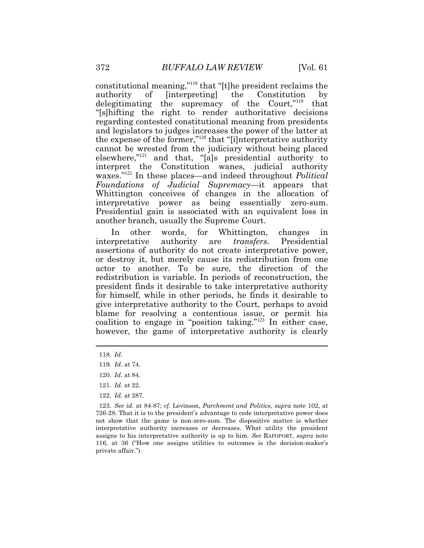authority delegitimating the supremacy of the Court," $119$  that and legislators to judges increases the power of the latter at elsewhere," $121$  and that, "[a]s presidential authority to waxes."<sup>122</sup> In these places—and indeed throughout *Political*  Whittington conceives of changes in the allocation of constitutional meaning,"<sup>118</sup> that "[t]he president reclaims the of [interpreting] the Constitution by "[s]hifting the right to render authoritative decisions regarding contested constitutional meaning from presidents the expense of the former,"<sup>120</sup> that "[i]nterpretative authority cannot be wrested from the judiciary without being placed interpret the Constitution wanes, judicial authority *Foundations of Judicial Supremacy*—it appears that interpretative power as being essentially zero-sum. Presidential gain is associated with an equivalent loss in another branch, usually the Supreme Court.

 In other words, for Whittington, changes in assertions of authority do not create interpretative power, or destroy it, but merely cause its redistribution from one actor to another. To be sure, the direction of the president finds it desirable to take interpretative authority give interpretative authority to the Court, perhaps to avoid blame for resolving a contentious issue, or permit his coalition to engage in "position taking." $123$  In either case, however, the game of interpretative authority is clearly interpretative authority are *transfers*. Presidential redistribution is variable. In periods of reconstruction, the for himself, while in other periods, he finds it desirable to

122. *Id.* at 287.

 123. *See id.* at 84-87; *cf.* Levinson, *Parchment and Politics*, *supra* note 102, at 726-28. That it is to the president's advantage to cede interpretative power does not show that the game is non-zero-sum. The dispositive matter is whether interpretative authority increases or decreases. What utility the president assigns to his interpretative authority is up to him. *See* RAPOPORT, *supra* note [116](#page-27-0), at 36 ("How one assigns utilities to outcomes is the decision-maker's private affair.").

<sup>118.</sup> *Id.* 

<sup>119.</sup> *Id*. at 74.

 120. *Id.* at 84.

 121. *Id.* at 22.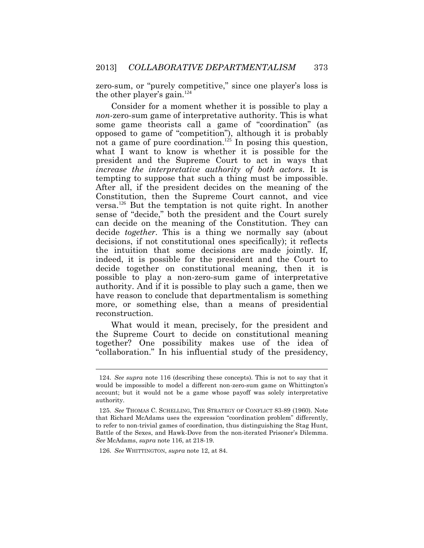zero-sum, or "purely competitive," since one player's loss is the other player's gain.<sup>124</sup>

 Consider for a moment whether it is possible to play a some game theorists call a game of "coordination" (as not a game of pure coordination.<sup>125</sup> In posing this question, what I want to know is whether it is possible for the president and the Supreme Court to act in ways that After all, if the president decides on the meaning of the sense of "decide," both the president and the Court surely can decide on the meaning of the Constitution. They can decide *together*. This is a thing we normally say (about decisions, if not constitutional ones specifically); it reflects the intuition that some decisions are made jointly. If, indeed, it is possible for the president and the Court to decide together on constitutional meaning, then it is possible to play a non-zero-sum game of interpretative authority. And if it is possible to play such a game, then we more, or something else, than a means of presidential *non*-zero-sum game of interpretative authority. This is what opposed to game of "competition"), although it is probably *increase the interpretative authority of both actors*. It is tempting to suppose that such a thing must be impossible. Constitution, then the Supreme Court cannot, and vice versa.<sup>126</sup> But the temptation is not quite right. In another have reason to conclude that departmentalism is something reconstruction.

 What would it mean, precisely, for the president and together? One possibility makes use of the idea of "collaboration." In his influential study of the presidency, the Supreme Court to decide on constitutional meaning

 would be impossible to model a different non-zero-sum game on Whittington's account; but it would not be a game whose payoff was solely interpretative 124. *See supra* note 116 (describing these concepts). This is not to say that it authority.

 125. *See* THOMAS C. SCHELLING, THE STRATEGY OF CONFLICT 83-89 (1960). Note that Richard McAdams uses the expression "coordination problem" differently, to refer to non-trivial games of coordination, thus distinguishing the Stag Hunt, Battle of the Sexes, and Hawk-Dove from the non-iterated Prisoner's Dilemma. *See* McAdams, *supra* note 116, at 218-19.

<sup>126.</sup> *See* WHITTINGTON, *supra* note 12, at 84.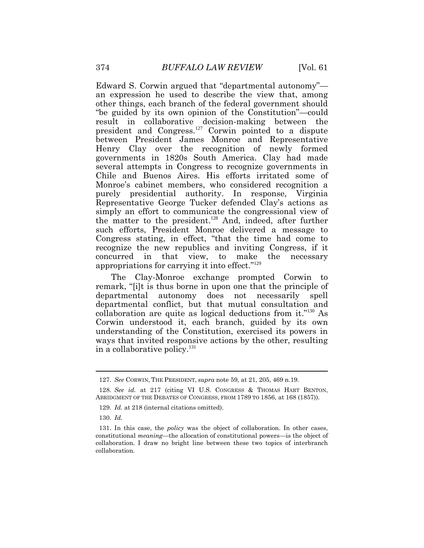other things, each branch of the federal government should "be guided by its own opinion of the Constitution"—could president and Congress.<sup>127</sup> Corwin pointed to a dispute Henry Clay over the recognition of newly formed governments in 1820s South America. Clay had made several attempts in Congress to recognize governments in Chile and Buenos Aires. His efforts irritated some of purely presidential authority. In response, Virginia Representative George Tucker defended Clay's actions as simply an effort to communicate the congressional view of the matter to the president.<sup>128</sup> And, indeed, after further such efforts, President Monroe delivered a message to recognize the new republics and inviting Congress, if it make the appropriations for carrying it into effect."<sup>129</sup> Edward S. Corwin argued that "departmental autonomy" an expression he used to describe the view that, among result in collaborative decision-making between the between President James Monroe and Representative Monroe's cabinet members, who considered recognition a Congress stating, in effect, "that the time had come to concurred in that view, to make the necessary

departmental autonomy collaboration are quite as logical deductions from it." $130$  As Corwin understood it, each branch, guided by its own understanding of the Constitution, exercised its powers in ways that invited responsive actions by the other, resulting The Clay-Monroe exchange prompted Corwin to remark, "[i]t is thus borne in upon one that the principle of does not necessarily spell departmental conflict, but that mutual consultation and in a collaborative policy.<sup>131</sup>

 127. *See* CORWIN, THE PRESIDENT, *supra* note 59, at 21, 205, 469 n.19.

<sup>128.</sup> See id. at 217 (citing VI U.S. CONGRESS & THOMAS HART BENTON, ABRIDGMENT OF THE DEBATES OF CONGRESS, FROM 1789 TO 1856, at 168 (1857)).

 129. *Id.* at 218 (internal citations omitted).

<sup>130.</sup> *Id.* 

 constitutional *meaning*—the allocation of constitutional powers—is the object of collaboration. I draw no bright line between these two topics of interbranch 131. In this case, the *policy* was the object of collaboration. In other cases, collaboration.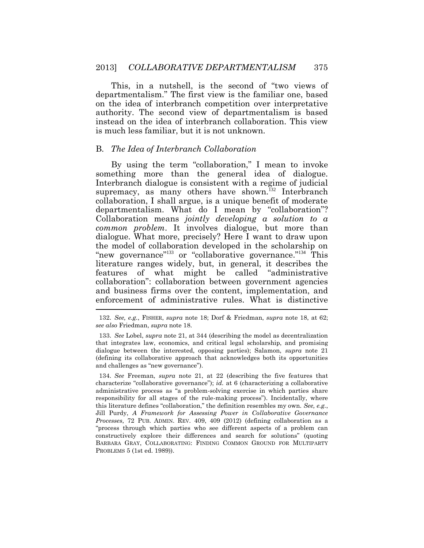This, in a nutshell, is the second of "two views of departmentalism." The first view is the familiar one, based on the idea of interbranch competition over interpretative authority. The second view of departmentalism is based instead on the idea of interbranch collaboration. This view is much less familiar, but it is not unknown.

#### B. *The Idea of Interbranch Collaboration*

 something more than the general idea of dialogue. Interbranch dialogue is consistent with a regime of judicial collaboration, I shall argue, is a unique benefit of moderate  Collaboration means *jointly developing a solution to a common problem*. It involves dialogue, but more than dialogue. What more, precisely? Here I want to draw upon the model of collaboration developed in the scholarship on literature ranges widely, but, in general, it describes the features of what might be called "administrative and business firms over the content, implementation, and enforcement of administrative rules. What is distinctive By using the term "collaboration," I mean to invoke supremacy, as many others have shown.<sup>132</sup> Interbranch departmentalism. What do I mean by "collaboration"? "new governance"<sup>133</sup> or "collaborative governance."<sup>134</sup> This collaboration": collaboration between government agencies

 132. *See, e.g.*, FISHER, *supra* note [18;](#page-5-0) Dorf & Friedman, *supra* note [18,](#page-5-0) at 62; *see also* Friedman, *supra* not[e 18.](#page-5-0)

 133. *See* Lobel, *supra* note 21, at 344 (describing the model as decentralization that integrates law, economics, and critical legal scholarship, and promising dialogue between the interested, opposing parties); Salamon, *supra* note 21 (defining its collaborative approach that acknowledges both its opportunities and challenges as "new governance").

 134. *See* Freeman, *supra* note 21, at 22 (describing the five features that characterize "collaborative governance"); *id.* at 6 (characterizing a collaborative administrative process as "a problem-solving exercise in which parties share responsibility for all stages of the rule-making process"). Incidentally, where  Jill Purdy, *A Framework for Assessing Power in Collaborative Governance Processes*, 72 PUB. ADMIN. REV. 409, 409 (2012) (defining collaboration as a "process through which parties who see different aspects of a problem can constructively explore their differences and search for solutions" (quoting this literature defines "collaboration," the definition resembles my own. *See, e.g.*, BARBARA GRAY, COLLABORATING: FINDING COMMON GROUND FOR MULTIPARTY PROBLEMS 5 (1st ed. 1989)).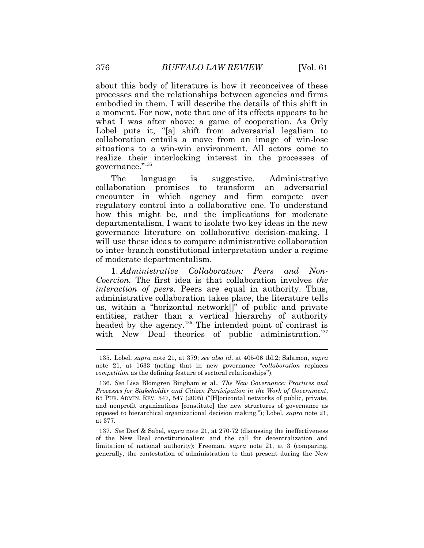about this body of literature is how it reconceives of these processes and the relationships between agencies and firms embodied in them. I will describe the details of this shift in a moment. For now, note that one of its effects appears to be what I was after above: a game of cooperation. As Orly Lobel puts it, "[a] shift from adversarial legalism to collaboration entails a move from an image of win-lose situations to a win-win environment. All actors come to realize their interlocking interest in the processes of governance."<sup>135</sup>

 encounter in which agency and firm compete over regulatory control into a collaborative one. To understand how this might be, and the implications for moderate governance literature on collaborative decision-making. I to inter-branch constitutional interpretation under a regime The language is suggestive. Administrative collaboration promises to transform an adversarial departmentalism, I want to isolate two key ideas in the new will use these ideas to compare administrative collaboration of moderate departmentalism.

 1. *Administrative Collaboration: Peers and Non- interaction of peers*. Peers are equal in authority. Thus, administrative collaboration takes place, the literature tells us, within a "horizontal network[]" of public and private entities, rather than a vertical hierarchy of authority headed by the agency.<sup>136</sup> The intended point of contrast is with New Deal theories of public administration.<sup>137</sup> *Coercion.* The first idea is that collaboration involves *the* 

 note [21](#page-6-0), at 1633 (noting that in new governance "*collaboration* replaces 135. Lobel, *supra* note [21,](#page-6-0) at 379; *see also id*. at 405-06 tbl.2; Salamon, *supra competition* as the defining feature of sectoral relationships").

 136. *See* Lisa Blomgren Bingham et al., *The New Governance: Practices and Processes for Stakeholder and Citizen Participation in the Work of Government*, 65 PUB. ADMIN. REV. 547, 547 (2005) ("[H]orizontal networks of public, private, and nonprofit organizations [constitute] the new structures of governance as opposed to hierarchical organizational decision making."); Lobel, *supra* note [21,](#page-6-0)  at 377.

 137. *See* Dorf & Sabel, *supra* note [21,](#page-6-0) at 270-72 (discussing the ineffectiveness of the New Deal constitutionalism and the call for decentralization and limitation of national authority); Freeman, *supra* note [21,](#page-6-0) at 3 (comparing, generally, the contestation of administration to that present during the New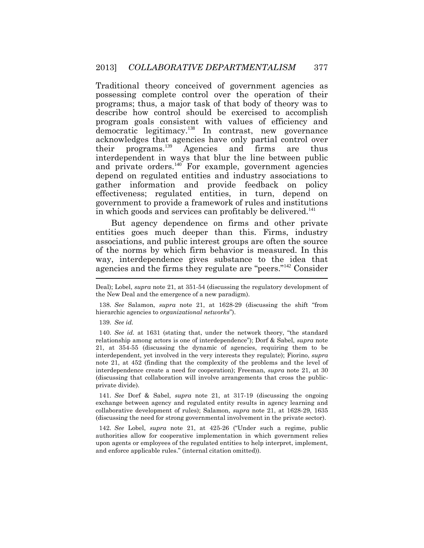Traditional theory conceived of government agencies as possessing complete control over the operation of their programs; thus, a major task of that body of theory was to describe how control should be exercised to accomplish program goals consistent with values of efficiency and acknowledges that agencies have only partial control over their programs.<sup>139</sup> Agencies and firms are thus and private orders.<sup>140</sup> For example, government agencies depend on regulated entities and industry associations to gather information and provide feedback on policy effectiveness; regulated entities, in turn, depend on in which goods and services can profitably be delivered.<sup>141</sup> democratic legitimacy.<sup>138</sup> In contrast, new governance interdependent in ways that blur the line between public government to provide a framework of rules and institutions

 But agency dependence on firms and other private entities goes much deeper than this. Firms, industry associations, and public interest groups are often the source of the norms by which firm behavior is measured. In this way, interdependence gives substance to the idea that agencies and the firms they regulate are "peers."<sup>142</sup> Consider

 138. *See* Salamon, *supra* note [21,](#page-6-0) at 1628-29 (discussing the shift "from hierarchic agencies to *organizational networks*").

139. *See id.* 

140. *See id.* at 1631 (stating that, under the network theory, "the standard relationship among actors is one of interdependence"); Dorf & Sabel, *supra* note [21,](#page-6-0) at 354-55 (discussing the dynamic of agencies, requiring them to be interdependent, yet involved in the very interests they regulate); Fiorino, *supra*  note [21,](#page-6-0) at 452 (finding that the complexity of the problems and the level of interdependence create a need for cooperation); Freeman, *supra* note [21,](#page-6-0) at 30 (discussing that collaboration will involve arrangements that cross the publicprivate divide).

 private divide). 141. *See* Dorf & Sabel, *supra* note [21,](#page-6-0) at 317-19 (discussing the ongoing collaborative development of rules); Salamon, *supra* note [21,](#page-6-0) at 1628-29, 1635 exchange between agency and regulated entity results in agency learning and (discussing the need for strong governmental involvement in the private sector).

 142. *See* Lobel, *supra* note [21,](#page-6-0) at 425-26 ("Under such a regime, public authorities allow for cooperative implementation in which government relies upon agents or employees of the regulated entities to help interpret, implement, and enforce applicable rules." (internal citation omitted)).

 Deal); Lobel, *supra* note [21,](#page-6-0) at 351-54 (discussing the regulatory development of the New Deal and the emergence of a new paradigm).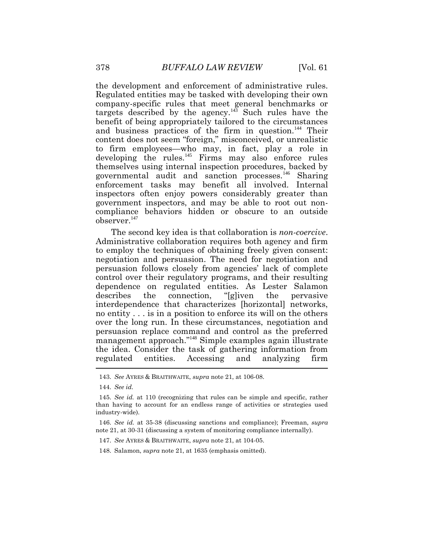Regulated entities may be tasked with developing their own targets described by the agency.<sup> $143$ </sup> Such rules have the benefit of being appropriately tailored to the circumstances and business practices of the firm in question.<sup>144</sup> Their content does not seem "foreign," misconceived, or unrealistic themselves using internal inspection procedures, backed by governmental audit and sanction processes.<sup>146</sup> Sharing inspectors often enjoy powers considerably greater than government inspectors, and may be able to root out non- compliance behaviors hidden or obscure to an outside  $\rm{observer.}^{147}$ the development and enforcement of administrative rules. company-specific rules that meet general benchmarks or to firm employees—who may, in fact, play a role in developing the rules. $145$  Firms may also enforce rules enforcement tasks may benefit all involved. Internal

 Administrative collaboration requires both agency and firm to employ the techniques of obtaining freely given consent: negotiation and persuasion. The need for negotiation and persuasion follows closely from agencies' lack of complete control over their regulatory programs, and their resulting dependence on regulated entities. As Lester Salamon describes no entity . . . is in a position to enforce its will on the others persuasion replace command and control as the preferred the idea. Consider the task of gathering information from regulated entities. Accessing and analyzing firm The second key idea is that collaboration is *non-coercive*. the connection, "[g]iven the pervasive interdependence that characterizes [horizontal] networks, over the long run. In these circumstances, negotiation and management approach."<sup>148</sup> Simple examples again illustrate

 143. *See* AYRES & BRAITHWAITE, *supra* note [21,](#page-6-0) at 106-08.

<sup>144.</sup> *See id.* 

<sup>145.</sup> *See id.* at 110 (recognizing that rules can be simple and specific, rather than having to account for an endless range of activities or strategies used industry-wide).

 146. *See id.* at 35-38 (discussing sanctions and compliance); Freeman, *supra*  not[e 21,](#page-6-0) at 30-31 (discussing a system of monitoring compliance internally).

 147. *See* AYRES & BRAITHWAITE, *supra* note [21,](#page-6-0) at 104-05.

 148. Salamon, *supra* not[e 21,](#page-6-0) at 1635 (emphasis omitted).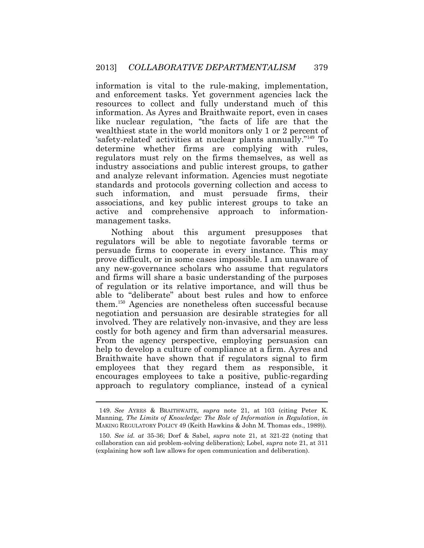and enforcement tasks. Yet government agencies lack the resources to collect and fully understand much of this information. As Ayres and Braithwaite report, even in cases like nuclear regulation, "the facts of life are that the wealthiest state in the world monitors only 1 or 2 percent of 'safety-related' activities at nuclear plants annually."<sup>149</sup> To determine whether firms are complying with rules, regulators must rely on the firms themselves, as well as industry associations and public interest groups, to gather standards and protocols governing collection and access to associations, and key public interest groups to take an information is vital to the rule-making, implementation, and analyze relevant information. Agencies must negotiate such information, and must persuade firms, their active and comprehensive approach to informationmanagement tasks.

 Nothing about this argument presupposes that regulators will be able to negotiate favorable terms or persuade firms to cooperate in every instance. This may and firms will share a basic understanding of the purposes of regulation or its relative importance, and will thus be able to "deliberate" about best rules and how to enforce them.<sup>150</sup> Agencies are nonetheless often successful because negotiation and persuasion are desirable strategies for all involved. They are relatively non-invasive, and they are less costly for both agency and firm than adversarial measures. help to develop a culture of compliance at a firm. Ayres and Braithwaite have shown that if regulators signal to firm employees that they regard them as responsible, it encourages employees to take a positive, public-regarding approach to regulatory compliance, instead of a cynical prove difficult, or in some cases impossible. I am unaware of any new-governance scholars who assume that regulators From the agency perspective, employing persuasion can

 149. *See* AYRES & BRAITHWAITE, *supra* note [21,](#page-6-0) at 103 (citing Peter K. Manning, *The Limits of Knowledge: The Role of Information in Regulation*, *in*  MAKING REGULATORY POLICY 49 (Keith Hawkins & John M. Thomas eds., 1989)).

 150. *See id. at* 35-36; Dorf & Sabel, *supra* note [21,](#page-6-0) at 321-22 (noting that collaboration can aid problem-solving deliberation); Lobel, *supra* note [21,](#page-6-0) at 311 (explaining how soft law allows for open communication and deliberation).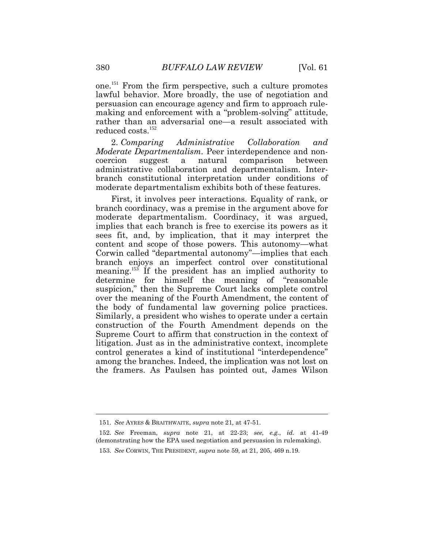persuasion can encourage agency and firm to approach rule- rather than an adversarial one—a result associated with one.<sup>151</sup> From the firm perspective, such a culture promotes lawful behavior. More broadly, the use of negotiation and making and enforcement with a "problem-solving" attitude, reduced costs.<sup>152</sup>

2. Comparing *Moderate Departmentalism.* Peer interdependence and nona branch constitutional interpretation under conditions of 2. *Comparing Administrative Collaboration and*  coercion suggest a natural comparison between administrative collaboration and departmentalism. Intermoderate departmentalism exhibits both of these features.

 First, it involves peer interactions. Equality of rank, or sees fit, and, by implication, that it may interpret the content and scope of those powers. This autonomy—what Corwin called "departmental autonomy"—implies that each branch enjoys an imperfect control over constitutional meaning.<sup>153</sup>If the president has an implied authority to determine for himself the meaning of "reasonable the body of fundamental law governing police practices. control generates a kind of institutional "interdependence" among the branches. Indeed, the implication was not lost on the framers. As Paulsen has pointed out, James Wilson branch coordinacy, was a premise in the argument above for moderate departmentalism. Coordinacy, it was argued, implies that each branch is free to exercise its powers as it suspicion," then the Supreme Court lacks complete control over the meaning of the Fourth Amendment, the content of Similarly, a president who wishes to operate under a certain construction of the Fourth Amendment depends on the Supreme Court to affirm that construction in the context of litigation. Just as in the administrative context, incomplete

 151. *See* AYRES & BRAITHWAITE, *supra* note [21](#page-6-0)*,* at 47-51.

 152. *See* Freeman, *supra* note [21,](#page-6-0) at 22-23; *see, e.g.*, *id.* at 41-49 (demonstrating how the EPA used negotiation and persuasion in rulemaking).

 153. *See* CORWIN, THE PRESIDENT, *supra* note 59, at 21, 205, 469 n.19.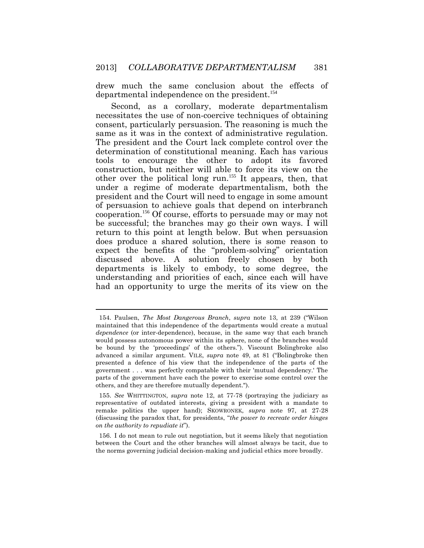drew much the same conclusion about the effects of departmental independence on the president.<sup>154</sup>

 necessitates the use of non-coercive techniques of obtaining The president and the Court lack complete control over the determination of constitutional meaning. Each has various construction, but neither will able to force its view on the other over the political long run.<sup>155</sup> It appears, then, that under a regime of moderate departmentalism, both the president and the Court will need to engage in some amount of persuasion to achieve goals that depend on interbranch cooperation.<sup>156</sup> Of course, efforts to persuade may or may not be successful; the branches may go their own ways. I will does produce a shared solution, there is some reason to understanding and priorities of each, since each will have Second, as a corollary, moderate departmentalism consent, particularly persuasion. The reasoning is much the same as it was in the context of administrative regulation. tools to encourage the other to adopt its favored return to this point at length below. But when persuasion expect the benefits of the "problem-solving" orientation discussed above. A solution freely chosen by both departments is likely to embody, to some degree, the had an opportunity to urge the merits of its view on the

 maintained that this independence of the departments would create a mutual *dependence* (or inter-dependence), because, in the same way that each branch would possess autonomous power within its sphere, none of the branches would be bound by the 'proceedings' of the others."). Viscount Bolingbroke also advanced a similar argument. VILE, *supra* note 49, at 81 ("Bolingbroke then presented a defence of his view that the independence of the parts of the government . . . was perfectly compatable with their 'mutual dependency.' The parts of the government have each the power to exercise some control over the others, and they are therefore mutually dependent."). 154. Paulsen, *The Most Dangerous Branch*, *supra* note 13, at 239 ("Wilson

 155. *See* WHITTINGTON, *supra* note [12,](#page-3-0) at 77-78 (portraying the judiciary as representative of outdated interests, giving a president with a mandate to remake politics the upper hand); SKOWRONEK, *supra* note 97, at 27-28 (discussing the paradox that, for presidents, "*the power to recreate order hinges on the authority to repudiate it*").

 between the Court and the other branches will almost always be tacit, due to 156. I do not mean to rule out negotiation, but it seems likely that negotiation the norms governing judicial decision-making and judicial ethics more broadly.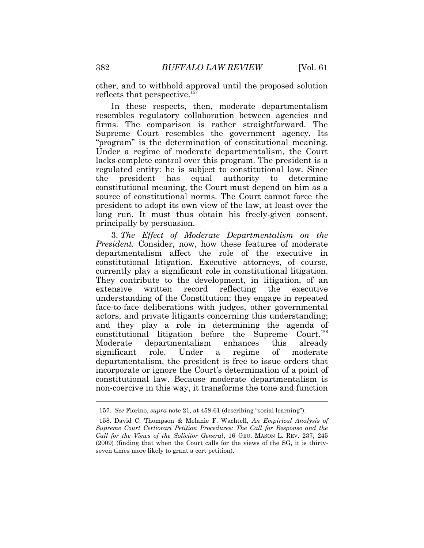other, and to withhold approval until the proposed solution reflects that perspective.<sup>157</sup>

 resembles regulatory collaboration between agencies and "program" is the determination of constitutional meaning. Under a regime of moderate departmentalism, the Court lacks complete control over this program. The president is a regulated entity: he is subject to constitutional law. Since constitutional meaning, the Court must depend on him as a president to adopt its own view of the law, at least over the In these respects, then, moderate departmentalism firms. The comparison is rather straightforward. The Supreme Court resembles the government agency. Its the president has equal authority to determine source of constitutional norms. The Court cannot force the long run. It must thus obtain his freely-given consent, principally by persuasion.

 3. *The Effect of Moderate Departmentalism on the President.* Consider, now, how these features of moderate constitutional litigation. Executive attorneys, of course, currently play a significant role in constitutional litigation. They contribute to the development, in litigation, of an extensive and they play a role in determining the agenda of enhances Under departmentalism, the president is free to issue orders that incorporate or ignore the Court's determination of a point of departmentalism affect the role of the executive in written record reflecting the executive understanding of the Constitution; they engage in repeated face-to-face deliberations with judges, other governmental actors, and private litigants concerning this understanding; constitutional litigation before the Supreme Court.<sup>158</sup> Moderate departmentalism enhances this already significant role. Under a regime of moderate constitutional law. Because moderate departmentalism is non-coercive in this way, it transforms the tone and function

 157. *See* Fiorino, *supra* not[e 21,](#page-6-0) at 458-61 (describing "social learning").

 *Supreme Court Certiorari Petition Procedures: The Call for Response and the Call for the Views of the Solicitor General*, 16 GEO. MASON L. REV. 237, 245 (2009) (finding that when the Court calls for the views of the SG, it is thirty-158. David C. Thompson & Melanie F. Wachtell, *An Empirical Analysis of*  seven times more likely to grant a cert petition).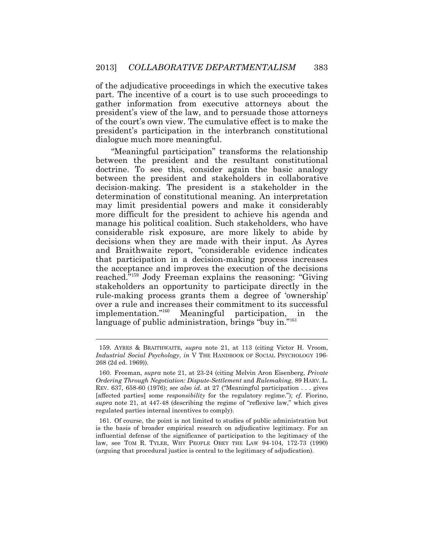part. The incentive of a court is to use such proceedings to president's view of the law, and to persuade those attorneys of the adjudicative proceedings in which the executive takes gather information from executive attorneys about the of the court's own view. The cumulative effect is to make the president's participation in the interbranch constitutional dialogue much more meaningful.

 between the president and the resultant constitutional between the president and stakeholders in collaborative decision-making. The president is a stakeholder in the determination of constitutional meaning. An interpretation may limit presidential powers and make it considerably more difficult for the president to achieve his agenda and decisions when they are made with their input. As Ayres that participation in a decision-making process increases the acceptance and improves the execution of the decisions stakeholders an opportunity to participate directly in the rule-making process grants them a degree of 'ownership' over a rule and increases their commitment to its successful "Meaningful participation" transforms the relationship doctrine. To see this, consider again the basic analogy manage his political coalition. Such stakeholders, who have considerable risk exposure, are more likely to abide by and Braithwaite report, "considerable evidence indicates reached."<sup>159</sup> Jody Freeman explains the reasoning: "Giving"  $implementation.<sup>160</sup> Meaningful participation, in the$ language of public administration, brings "buy in."<sup>161</sup>

 *Industrial Social Psychology*, *in* V THE HANDBOOK OF SOCIAL PSYCHOLOGY 196- 159. AYRES & BRAITHWAITE, *supra* note [21,](#page-6-0) at 113 (citing Victor H. Vroom, 268 (2d ed. 1969)).

 *Ordering Through Negotiation: Dispute-Settlement* and *Rulemaking*, 89 HARV. L.  REV. 637, 658-60 (1976); *see also id.* at 27 ("Meaningful participation . . . gives [affected parties] some *responsibility* for the regulatory regime."); *cf.* Fiorino, *supra* note [21,](#page-6-0) at 447-48 (describing the regime of "reflexive law," which gives 160. Freeman, *supra* note [21,](#page-6-0) at 23-24 (citing Melvin Aron Eisenberg, *Private*  regulated parties internal incentives to comply).

 is the basis of broader empirical research on adjudicative legitimacy. For an influential defense of the significance of participation to the legitimacy of the law, see TOM R. TYLER, WHY PEOPLE OBEY THE LAW 94-104, 172-73 (1990) 161. Of course, the point is not limited to studies of public administration but (arguing that procedural justice is central to the legitimacy of adjudication).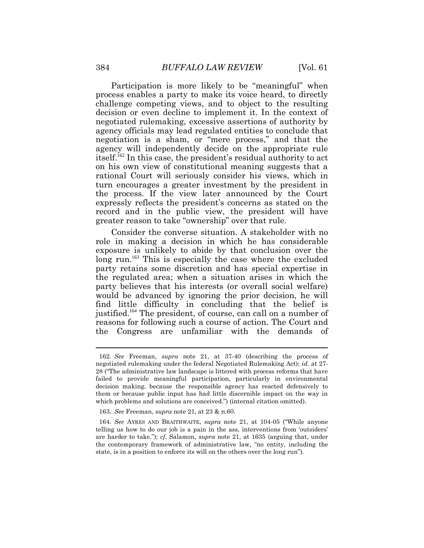Participation is more likely to be "meaningful" when process enables a party to make its voice heard, to directly negotiated rulemaking, excessive assertions of authority by agency officials may lead regulated entities to conclude that negotiation is a sham, or "mere process," and that the agency will independently decide on the appropriate rule on his own view of constitutional meaning suggests that a rational Court will seriously consider his views, which in turn encourages a greater investment by the president in the process. If the view later announced by the Court expressly reflects the president's concerns as stated on the record and in the public view, the president will have challenge competing views, and to object to the resulting decision or even decline to implement it. In the context of itself.<sup>162</sup> In this case, the president's residual authority to act greater reason to take "ownership" over that rule.

 Consider the converse situation. A stakeholder with no exposure is unlikely to abide by that conclusion over the long run.<sup>163</sup> This is especially the case where the excluded party retains some discretion and has special expertise in the regulated area; when a situation arises in which the party believes that his interests (or overall social welfare) would be advanced by ignoring the prior decision, he will find little difficulty in concluding that the belief is justified.<sup>164</sup> The president, of course, can call on a number of reasons for following such a course of action. The Court and role in making a decision in which he has considerable the Congress are unfamiliar with the demands of

 162. *See* Freeman, *supra* note 21, at 37-40 (describing the process of negotiated rulemaking under the federal Negotiated Rulemaking Act); *id.* at 27- 28 ("The administrative law landscape is littered with process reforms that have failed to provide meaningful participation, particularly in environmental decision making, because the responsible agency has reacted defensively to them or because public input has had little discernible impact on the way in which problems and solutions are conceived.") (internal citation omitted).

 163. *See* Freeman, *supra* note [21,](#page-6-0) at 23 & n.60.

 164. *See* AYRES AND BRAITHWAITE, *supra* note [21,](#page-6-0) at 104-05 ("While anyone telling us how to do our job is a pain in the ass, interventions from 'outsiders' are harder to take."); *cf.* Salamon, *supra* note [21,](#page-6-0) at 1635 (arguing that, under the contemporary framework of administrative law, "no entity, including the state, is in a position to enforce its will on the others over the long run").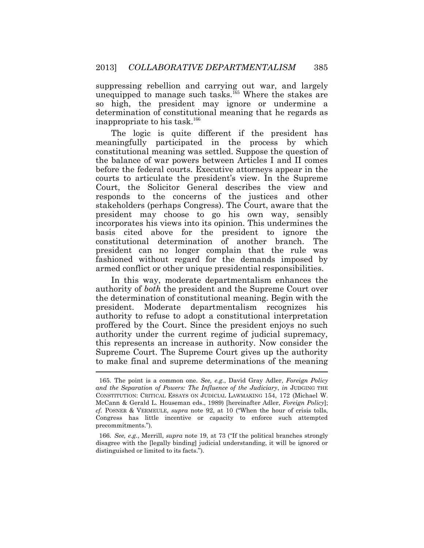suppressing rebellion and carrying out war, and largely so high, the president may ignore or undermine a unequipped to manage such tasks.<sup>165</sup> Where the stakes are determination of constitutional meaning that he regards as inappropriate to his task.<sup>166</sup>

 The logic is quite different if the president has constitutional meaning was settled. Suppose the question of the balance of war powers between Articles I and II comes Court, the Solicitor General describes the view and responds to the concerns of the justices and other president may choose to go his own way, sensibly incorporates his views into its opinion. This undermines the basis cited above for the president to ignore the constitutional determination of another branch. The fashioned without regard for the demands imposed by meaningfully participated in the process by which before the federal courts. Executive attorneys appear in the courts to articulate the president's view. In the Supreme stakeholders (perhaps Congress). The Court, aware that the president can no longer complain that the rule was armed conflict or other unique presidential responsibilities.

 authority of *both* the president and the Supreme Court over president. Moderate departmentalism recognizes his authority to refuse to adopt a constitutional interpretation proffered by the Court. Since the president enjoys no such authority under the current regime of judicial supremacy, this represents an increase in authority. Now consider the Supreme Court. The Supreme Court gives up the authority to make final and supreme determinations of the meaning In this way, moderate departmentalism enhances the the determination of constitutional meaning. Begin with the

 CONSTITUTION: CRITICAL ESSAYS ON JUDICIAL LAWMAKING 154, 172 (Michael W. McCann & Gerald L. Houseman eds., 1989) [hereinafter Adler, *Foreign Policy*]; *cf.* POSNER & VERMEULE, *supra* note 92, at 10 ("When the hour of crisis tolls, Congress has little incentive or capacity to enforce such attempted 165. The point is a common one. *See, e.g.*, David Gray Adler, *Foreign Policy and the Separation of Powers: The Influence of the Judiciary*, *in* JUDGING THE precommitments.").

 166. *See, e.g.*, Merrill, *supra* note [19,](#page-5-1) at 73 ("If the political branches strongly disagree with the [legally binding] judicial understanding, it will be ignored or distinguished or limited to its facts.").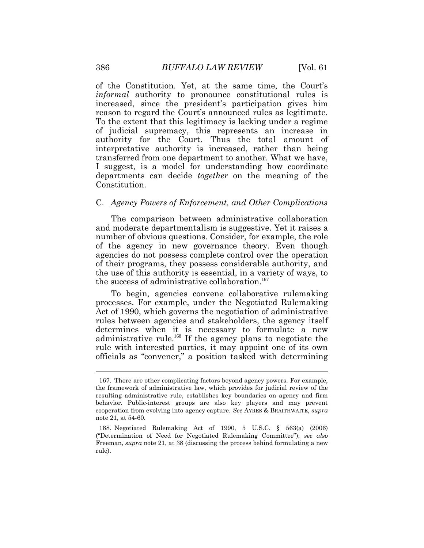*informal* authority to pronounce constitutional rules is increased, since the president's participation gives him reason to regard the Court's announced rules as legitimate. To the extent that this legitimacy is lacking under a regime of judicial supremacy, this represents an increase in authority for the Court. Thus the total amount of interpretative authority is increased, rather than being I suggest, is a model for understanding how coordinate departments can decide *together* on the meaning of the of the Constitution. Yet, at the same time, the Court's transferred from one department to another. What we have, Constitution.

#### C. *Agency Powers of Enforcement, and Other Complications*

 and moderate departmentalism is suggestive. Yet it raises a number of obvious questions. Consider, for example, the role of the agency in new governance theory. Even though agencies do not possess complete control over the operation of their programs, they possess considerable authority, and the use of this authority is essential, in a variety of ways, to The comparison between administrative collaboration the success of administrative collaboration.<sup>167</sup>

 processes. For example, under the Negotiated Rulemaking rules between agencies and stakeholders, the agency itself determines when it is necessary to formulate a new administrative rule.<sup>168</sup> If the agency plans to negotiate the To begin, agencies convene collaborative rulemaking Act of 1990, which governs the negotiation of administrative rule with interested parties, it may appoint one of its own officials as "convener," a position tasked with determining

 the framework of administrative law, which provides for judicial review of the resulting administrative rule, establishes key boundaries on agency and firm behavior. Public-interest groups are also key players and may prevent cooperation from evolving into agency capture. *See* AYRES & BRAITHWAITE, *supra*  167. There are other complicating factors beyond agency powers. For example, not[e 21,](#page-6-0) at 54-60.

 168. Negotiated Rulemaking Act of 1990, 5 U.S.C. § 563(a) (2006)  ("Determination of Need for Negotiated Rulemaking Committee"); *see also*  Freeman, *supra* note [21,](#page-6-0) at 38 (discussing the process behind formulating a new rule).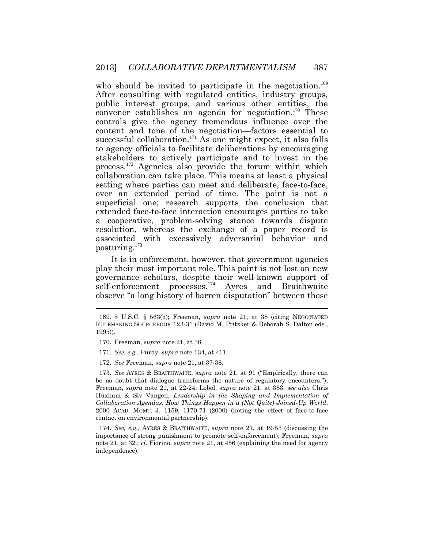After consulting with regulated entities, industry groups, public interest groups, and various other entities, the convener establishes an agenda for negotiation.<sup>170</sup> These controls give the agency tremendous influence over the content and tone of the negotiation—factors essential to successful collaboration.<sup>171</sup> As one might expect, it also falls process.<sup>172</sup> Agencies also provide the forum within which collaboration can take place. This means at least a physical over an extended period of time. The point is not a superficial one; research supports the conclusion that resolution, whereas the exchange of a paper record is associated with excessively adversarial behavior and who should be invited to participate in the negotiation.<sup>169</sup> to agency officials to facilitate deliberations by encouraging stakeholders to actively participate and to invest in the setting where parties can meet and deliberate, face-to-face, extended face-to-face interaction encourages parties to take a cooperative, problem-solving stance towards dispute posturing.<sup>173</sup>

 It is in enforcement, however, that government agencies play their most important role. This point is not lost on new self-enforcement processes.<sup>174</sup> Ayres and Braithwaite observe "a long history of barren disputation" between those governance scholars, despite their well-known support of

 169. 5 U.S.C. § 563(b); Freeman, *supra* note [21,](#page-6-0) at 38 (citing NEGOTIATED RULEMAKING SOURCEBOOK 123-31 (David M. Pritzker & Deborah S. Dalton eds., 1995)).

<sup>170.</sup> Freeman, *supra* note 21, at 38.

 171. *See, e.g.*, Purdy, *supra* note 134, at 411.

<sup>172.</sup> *See* Freeman, *supra* note [21,](#page-6-0) at 37-38.

 173. *See* AYRES & BRAITHWAITE, *supra* note [21](#page-6-0), at 91 ("Empirically, there can be no doubt that dialogue transforms the nature of regulatory encounters."); Freeman, *supra* note [21,](#page-6-0) at 22-24; Lobel, *supra* note [21,](#page-6-0) at 383; *see also* Chris Huxham & Siv Vangen, *Leadership in the Shaping and Implementation of Collaboration Agendas: How Things Happen in a (Not Quite) Joined-Up World*, 2000 ACAD. MGMT. J. 1159, 1170-71 (2000) (noting the effect of face-to-face contact on environmental partnership).

 174. *See, e.g.*, AYRES & BRAITHWAITE, *supra* note [21,](#page-6-0) at 19-53 (discussing the importance of strong punishment to promote self-enforcement); Freeman, *supra*  note [21,](#page-6-0) at 32.; *cf.* Fiorino, *supra* note [21,](#page-6-0) at 456 (explaining the need for agency independence).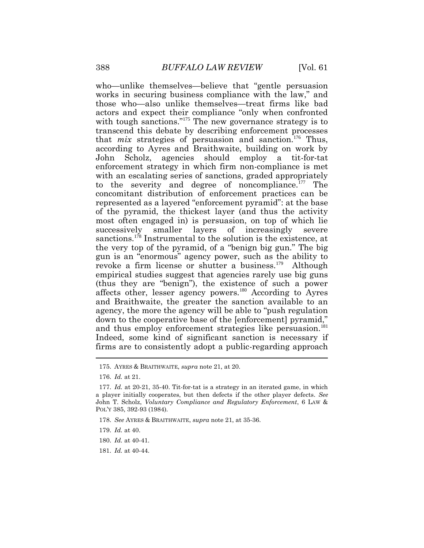those who—also unlike themselves—treat firms like bad actors and expect their compliance "only when confronted with tough sanctions." $175$  The new governance strategy is to that  $mix$  strategies of persuasion and sanction.<sup>176</sup> Thus, according to Ayres and Braithwaite, building on work by agencies with an escalating series of sanctions, graded appropriately to the severity and degree of noncompliance. $177$  The of the pyramid, the thickest layer (and thus the activity most often engaged in) is persuasion, on top of which lie successively smaller layers of increasingly severe the very top of the pyramid, of a "benign big gun." The big gun is an "enormous" agency power, such as the ability to revoke a firm license or shutter a business.<sup>179</sup> Although empirical studies suggest that agencies rarely use big guns (thus they are "benign"), the existence of such a power affects other, lesser agency powers.<sup>180</sup> According to Ayres agency, the more the agency will be able to "push regulation and thus employ enforcement strategies like persuasion.<sup>181</sup> Indeed, some kind of significant sanction is necessary if firms are to consistently adopt a public-regarding approach who—unlike themselves—believe that "gentle persuasion works in securing business compliance with the law," and transcend this debate by describing enforcement processes John Scholz, agencies should employ a tit-for-tat enforcement strategy in which firm non-compliance is met concomitant distribution of enforcement practices can be represented as a layered "enforcement pyramid": at the base sanctions.<sup>178</sup> Instrumental to the solution is the existence, at and Braithwaite, the greater the sanction available to an down to the cooperative base of the [enforcement] pyramid,"

<sup>175.</sup> AYRES & BRAITHWAITE, *supra* not[e 21,](#page-6-0) at 20.

 176. *Id.* at 21.

 177. *Id.* at 20-21, 35-40. Tit-for-tat is a strategy in an iterated game, in which a player initially cooperates, but then defects if the other player defects. *See*  John T. Scholz, *Voluntary Compliance and Regulatory Enforcement*, 6 LAW & POL'Y 385, 392-93 (1984).

 178. *See* AYRES & BRAITHWAITE, *supra* note [21,](#page-6-0) at 35-36.

 179. *Id.* at 40.

 180. *Id.* at 40-41.

 181. *Id.* at 40-44.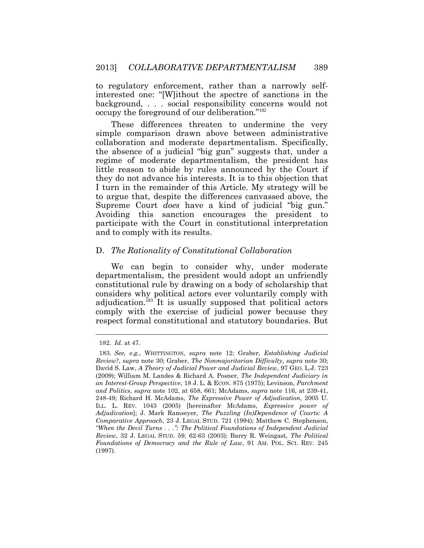to regulatory enforcement, rather than a narrowly self- interested one: "[W]ithout the spectre of sanctions in the background, . . . social responsibility concerns would not occupy the foreground of our deliberation."<sup>182</sup>

 the absence of a judicial "big gun" suggests that, under a regime of moderate departmentalism, the president has little reason to abide by rules announced by the Court if I turn in the remainder of this Article. My strategy will be Supreme Court *does* have a kind of judicial "big gun." These differences threaten to undermine the very simple comparison drawn above between administrative collaboration and moderate departmentalism. Specifically, they do not advance his interests. It is to this objection that to argue that, despite the differences canvassed above, the Avoiding this sanction encourages the president to participate with the Court in constitutional interpretation and to comply with its results.

#### D. *The Rationality of Constitutional Collaboration*

 We can begin to consider why, under moderate departmentalism, the president would adopt an unfriendly constitutional rule by drawing on a body of scholarship that considers why political actors ever voluntarily comply with adjudication.<sup>183</sup> It is usually supposed that political actors comply with the exercise of judicial power because they respect formal constitutional and statutory boundaries. But

 182. *Id.* at 47.

 183. *See, e.g.*, WHITTINGTON, *supra* note 12; Graber, *Establishing Judicial Review?*, *supra* note [30;](#page-9-1) Graber, *The Nonmajoritarian Difficulty*, *supra* note [30;](#page-9-1)   David S. Law, *A Theory of Judicial Power and Judicial Review*, 97 GEO. L.J. 723 (2009); William M. Landes & Richard A. Posner, *The Independent Judiciary in an Interest-Group Perspective*, 18 J. L. & ECON. 875 (1975); Levinson, *Parchment and Politics*, *supra* note 102, at 658, 661; McAdams, *supra* note 116, at 239-41, 248-49; Richard H. McAdams, *The Expressive Power of Adjudication*, 2005 U. ILL. L. REV. 1043 (2005) [hereinafter McAdams, *Expressive power of Comparative Approach*, 23 J. LEGAL STUD. 721 (1994); Matthew C. Stephenson,  *"When the Devil Turns . . .": The Political Foundations of Independent Judicial Review*, 32 J. LEGAL STUD. 59, 62-63 (2003); Barry R. Weingast, *The Political Foundations of Democracy and the Rule of Law*, 91 AM. POL. SCI. REV. 245 *Adjudication*]; J. Mark Ramseyer, *The Puzzling (In)Dependence of Courts: A*  (1997).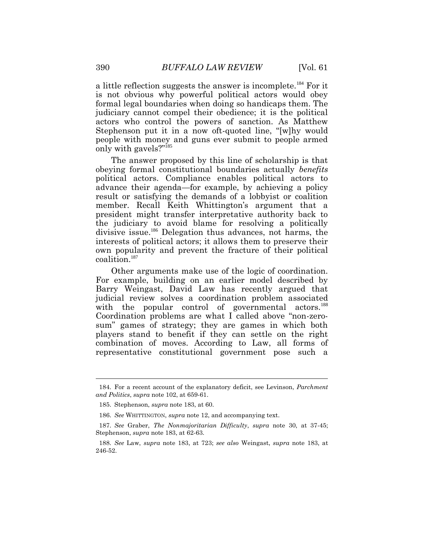a little reflection suggests the answer is incomplete.<sup>184</sup> For it is not obvious why powerful political actors would obey formal legal boundaries when doing so handicaps them. The actors who control the powers of sanction. As Matthew Stephenson put it in a now oft-quoted line, "[w]hy would people with money and guns ever submit to people armed judiciary cannot compel their obedience; it is the political only with gavels?"<sup>185</sup>

 The answer proposed by this line of scholarship is that obeying formal constitutional boundaries actually *benefits*  political actors. Compliance enables political actors to advance their agenda—for example, by achieving a policy result or satisfying the demands of a lobbyist or coalition president might transfer interpretative authority back to the judiciary to avoid blame for resolving a politically divisive issue.<sup>186</sup> Delegation thus advances, not harms, the interests of political actors; it allows them to preserve their own popularity and prevent the fracture of their political member. Recall Keith Whittington's argument that a coalition.<sup>187</sup>

 Other arguments make use of the logic of coordination. For example, building on an earlier model described by Barry Weingast, David Law has recently argued that with the popular control of governmental actors.<sup>188</sup> combination of moves. According to Law, all forms of judicial review solves a coordination problem associated Coordination problems are what I called above "non-zerosum" games of strategy; they are games in which both players stand to benefit if they can settle on the right representative constitutional government pose such a

 *and Politics*, *supra* note 102, at 659-61. 184. For a recent account of the explanatory deficit, see Levinson, *Parchment* 

<sup>185.</sup> Stephenson, *supra* note 183, at 60.

 186. *See* WHITTINGTON, *supra* note 12, and accompanying text.

 187. *See* Graber, *The Nonmajoritarian Difficulty*, *supra* note [30,](#page-9-1) at 37-45; Stephenson, *supra* note 183, at 62-63.

<sup>188.</sup> *See* Law, *supra* note 183, at 723; *see also* Weingast, *supra* note 183, at 246-52.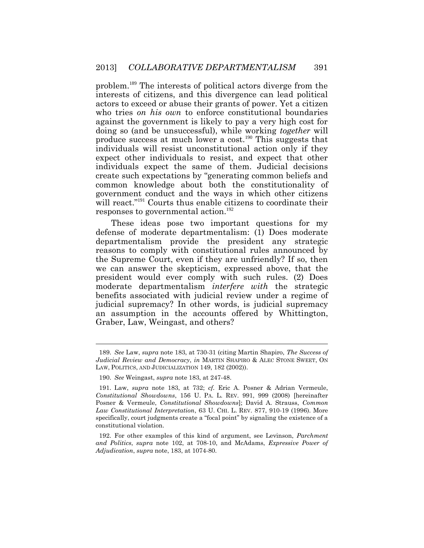problem.<sup>189</sup> The interests of political actors diverge from the interests of citizens, and this divergence can lead political actors to exceed or abuse their grants of power. Yet a citizen against the government is likely to pay a very high cost for doing so (and be unsuccessful), while working *together* will produce success at much lower a cost.<sup>190</sup> This suggests that individuals will resist unconstitutional action only if they individuals expect the same of them. Judicial decisions create such expectations by "generating common beliefs and common knowledge about both the constitutionality of government conduct and the ways in which other citizens who tries *on his own* to enforce constitutional boundaries expect other individuals to resist, and expect that other will react."<sup>191</sup> Courts thus enable citizens to coordinate their responses to governmental action.<sup>192</sup>

 These ideas pose two important questions for my defense of moderate departmentalism: (1) Does moderate reasons to comply with constitutional rules announced by the Supreme Court, even if they are unfriendly? If so, then president would ever comply with such rules. (2) Does benefits associated with judicial review under a regime of judicial supremacy? In other words, is judicial supremacy an assumption in the accounts offered by Whittington, departmentalism provide the president any strategic we can answer the skepticism, expressed above, that the moderate departmentalism *interfere with* the strategic Graber, Law, Weingast, and others?

 *Judicial Review and Democracy*, *in* MARTIN SHAPIRO & ALEC STONE SWEET, ON LAW, POLITICS, AND JUDICIALIZATION 149, 182 (2002)). 189. *See* Law, *supra* note 183, at 730-31 (citing Martin Shapiro, *The Success of* 

 190. *See* Weingast, *supra* note 183, at 247-48.

 *Constitutional Showdowns*, 156 U. PA. L. REV. 991, 999 (2008) [hereinafter *Law Constitutional Interpretation*, 63 U. CHI. L. REV. 877, 910-19 (1996). More 191. Law, *supra* note 183, at 732; *cf.* Eric A. Posner & Adrian Vermeule, Posner & Vermeule, *Constitutional Showdowns*]; David A. Strauss, *Common*  specifically, court judgments create a "focal point" by signaling the existence of a constitutional violation.

 *and Politics*, *supra* note 102, at 708-10, and McAdams, *Expressive Power of*  192. For other examples of this kind of argument, see Levinson, *Parchment Adjudication*, *supra* note, 183, at 1074-80.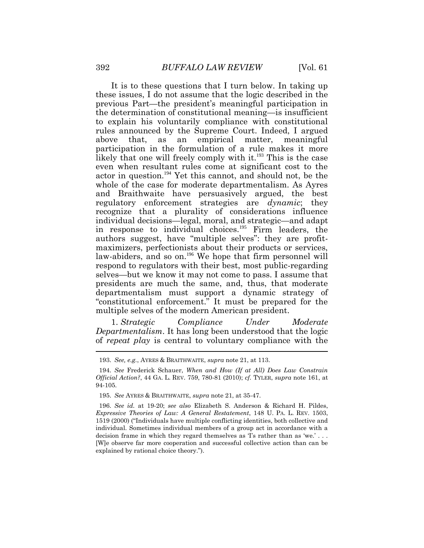It is to these questions that I turn below. In taking up these issues, I do not assume that the logic described in the rules announced by the Supreme Court. Indeed, I argued participation in the formulation of a rule makes it more likely that one will freely comply with it.<sup>193</sup> This is the case even when resultant rules come at significant cost to the actor in question.<sup>194</sup> Yet this cannot, and should not, be the whole of the case for moderate departmentalism. As Ayres regulatory enforcement strategies are *dynamic*; they recognize that a plurality of considerations influence in response to individual choices.<sup>195</sup> Firm leaders, the authors suggest, have "multiple selves": they are profitlaw-abiders, and so on.<sup>196</sup> We hope that firm personnel will respond to regulators with their best, most public-regarding selves—but we know it may not come to pass. I assume that presidents are much the same, and, thus, that moderate departmentalism must support a dynamic strategy of "constitutional enforcement." It must be prepared for the previous Part—the president's meaningful participation in the determination of constitutional meaning—is insufficient to explain his voluntarily compliance with constitutional above that, as an empirical matter, meaningful and Braithwaite have persuasively argued, the best individual decisions—legal, moral, and strategic—and adapt maximizers, perfectionists about their products or services, multiple selves of the modern American president.

1. Strategic *Departmentalism*. It has long been understood that the logic of *repeat play* is central to voluntary compliance with the  $1.$  *Sompliance* Under Moderate

 193. *See, e.g.*, AYRES & BRAITHWAITE, *supra* not[e 21,](#page-6-0) at 113.

 194. *See* Frederick Schauer, *When and How (If at All) Does Law Constrain Official Action?*, 44 GA. L. REV. 759, 780-81 (2010); *cf.* TYLER, *supra* note 161, at 94-105.

<sup>195.</sup> *See* AYRES & BRAITHWAITE, *supra* note [21,](#page-6-0) at 35-47.

 196. *See id.* at 19-20; *see also* Elizabeth S. Anderson & Richard H. Pildes,  *Expressive Theories of Law: A General Restatement*, 148 U. PA. L. REV. 1503, individual. Sometimes individual members of a group act in accordance with a decision frame in which they regard themselves as 'I's rather than as 'we.' ... [W]e observe far more cooperation and successful collective action than can be 1519 (2000) ("Individuals have multiple conflicting identities, both collective and explained by rational choice theory.").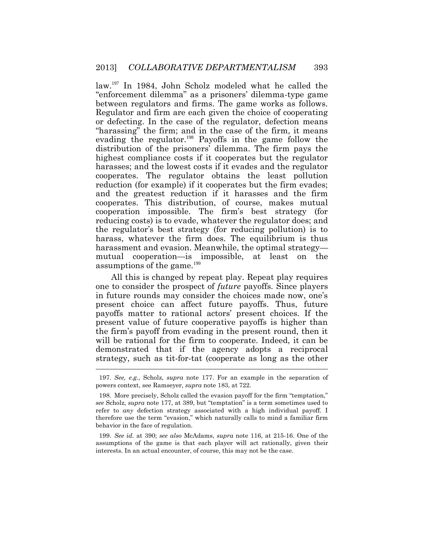law.<sup>197</sup> In 1984, John Scholz modeled what he called the "enforcement dilemma" as a prisoners' dilemma-type game between regulators and firms. The game works as follows. Regulator and firm are each given the choice of cooperating or defecting. In the case of the regulator, defection means evading the regulator.<sup>198</sup> Payoffs in the game follow the harasses; and the lowest costs if it evades and the regulator cooperates. The regulator obtains the least pollution reduction (for example) if it cooperates but the firm evades; and the greatest reduction if it harasses and the firm cooperates. This distribution, of course, makes mutual cooperation impossible. The firm's best strategy (for the regulator's best strategy (for reducing pollution) is to harassment and evasion. Meanwhile, the optimal strategy assumptions of the game.<sup>199</sup> "harassing" the firm; and in the case of the firm, it means distribution of the prisoners' dilemma. The firm pays the highest compliance costs if it cooperates but the regulator reducing costs) is to evade, whatever the regulator does; and harass, whatever the firm does. The equilibrium is thus mutual cooperation—is impossible, at least on the

 All this is changed by repeat play. Repeat play requires one to consider the prospect of *future* payoffs. Since players in future rounds may consider the choices made now, one's payoffs matter to rational actors' present choices. If the present value of future cooperative payoffs is higher than the firm's payoff from evading in the present round, then it will be rational for the firm to cooperate. Indeed, it can be I present choice can affect future payoffs. Thus, future demonstrated that if the agency adopts a reciprocal strategy, such as tit-for-tat (cooperate as long as the other

 199. *See id.* at 390; *see also* McAdams, *supra* note 116, at 215-16. One of the assumptions of the game is that each player will act rationally, given their interests. In an actual encounter, of course, this may not be the case.

 197. *See, e.g.*, Scholz, *supra* note 177. For an example in the separation of powers context, see Ramseyer, *supra* note 183, at 722.

 *see* Scholz, *supra* note 177, at 389, but "temptation" is a term sometimes used to refer to *any* defection strategy associated with a high individual payoff. I therefore use the term "evasion," which naturally calls to mind a familiar firm 198. More precisely, Scholz called the evasion payoff for the firm "temptation," behavior in the face of regulation.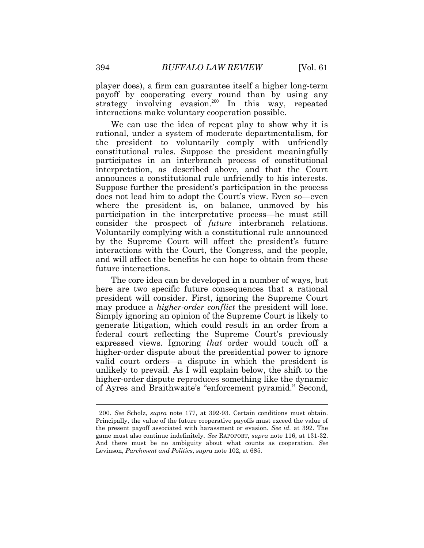player does), a firm can guarantee itself a higher long-term payoff by cooperating every round than by using any  $strategy$  involving evasion.<sup>200</sup> In this way, repeated interactions make voluntary cooperation possible.

 We can use the idea of repeat play to show why it is rational, under a system of moderate departmentalism, for the president to voluntarily comply with unfriendly constitutional rules. Suppose the president meaningfully participates in an interbranch process of constitutional announces a constitutional rule unfriendly to his interests. does not lead him to adopt the Court's view. Even so—even where the president is, on balance, unmoved by his consider the prospect of *future* interbranch relations. Voluntarily complying with a constitutional rule announced interactions with the Court, the Congress, and the people, and will affect the benefits he can hope to obtain from these interpretation, as described above, and that the Court Suppose further the president's participation in the process participation in the interpretative process—he must still by the Supreme Court will affect the president's future future interactions.

 The core idea can be developed in a number of ways, but here are two specific future consequences that a rational may produce a *higher-order conflict* the president will lose. generate litigation, which could result in an order from a expressed views. Ignoring *that* order would touch off a valid court orders—a dispute in which the president is unlikely to prevail. As I will explain below, the shift to the of Ayres and Braithwaite's "enforcement pyramid." Second, president will consider. First, ignoring the Supreme Court Simply ignoring an opinion of the Supreme Court is likely to federal court reflecting the Supreme Court's previously higher-order dispute about the presidential power to ignore higher-order dispute reproduces something like the dynamic

 200. *See* Scholz, *supra* note 177, at 392-93. Certain conditions must obtain. Principally, the value of the future cooperative payoffs must exceed the value of the present payoff associated with harassment or evasion. *See id.* at 392. The game must also continue indefinitely. *See* RAPOPORT, *supra* note 116, at 131-32. And there must be no ambiguity about what counts as cooperation. *See*  Levinson, *Parchment and Politics*, *supra* note 102, at 685.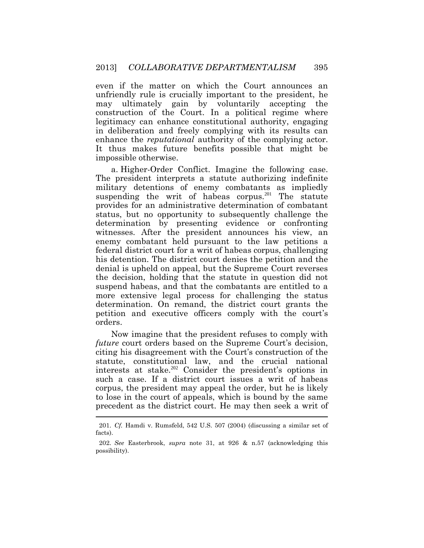even if the matter on which the Court announces an unfriendly rule is crucially important to the president, he may ultimately gain by voluntarily accepting the construction of the Court. In a political regime where in deliberation and freely complying with its results can enhance the *reputational* authority of the complying actor. It thus makes future benefits possible that might be legitimacy can enhance constitutional authority, engaging impossible otherwise.

 a. Higher-Order Conflict. Imagine the following case. military detentions of enemy combatants as impliedly provides for an administrative determination of combatant determination by presenting evidence or confronting witnesses. After the president announces his view, an enemy combatant held pursuant to the law petitions a denial is upheld on appeal, but the Supreme Court reverses suspend habeas, and that the combatants are entitled to a more extensive legal process for challenging the status determination. On remand, the district court grants the orders. orders. Now imagine that the president refuses to comply with The president interprets a statute authorizing indefinite suspending the writ of habeas corpus.<sup>201</sup> The statute status, but no opportunity to subsequently challenge the federal district court for a writ of habeas corpus, challenging his detention. The district court denies the petition and the the decision, holding that the statute in question did not petition and executive officers comply with the court's

 citing his disagreement with the Court's construction of the statute, constitutional law, and the crucial national interests at stake.<sup>202</sup> Consider the president's options in such a case. If a district court issues a writ of habeas corpus, the president may appeal the order, but he is likely to lose in the court of appeals, which is bound by the same precedent as the district court. He may then seek a writ of *future* court orders based on the Supreme Court's decision,

 201. *Cf.* Hamdi v. Rumsfeld, 542 U.S. 507 (2004) (discussing a similar set of facts).

 202. *See* Easterbrook, *supra* note 31, at 926 & n.57 (acknowledging this possibility).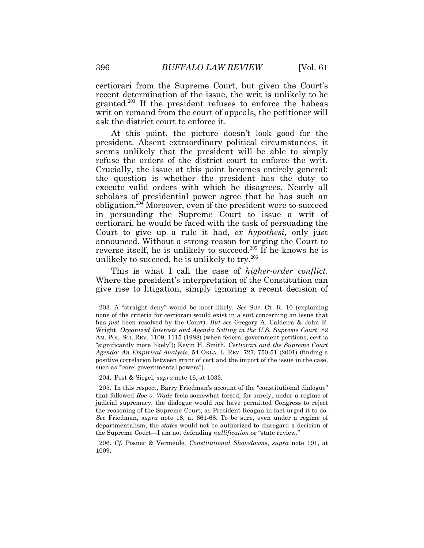recent determination of the issue, the writ is unlikely to be writ on remand from the court of appeals, the petitioner will certiorari from the Supreme Court, but given the Court's granted.<sup>203</sup> If the president refuses to enforce the habeas ask the district court to enforce it.

 At this point, the picture doesn't look good for the seems unlikely that the president will be able to simply Crucially, the issue at this point becomes entirely general: the question is whether the president has the duty to execute valid orders with which he disagrees. Nearly all scholars of presidential power agree that he has such an in persuading the Supreme Court to issue a writ of certiorari, he would be faced with the task of persuading the Court to give up a rule it had, *ex hypothesi*, only just announced. Without a strong reason for urging the Court to president. Absent extraordinary political circumstances, it refuse the orders of the district court to enforce the writ. obligation.<sup>204</sup>Moreover, even if the president were to succeed reverse itself, he is unlikely to succeed.<sup>205</sup> If he knows he is unlikely to succeed, he is unlikely to try.<sup>206</sup>

 $\overline{a}$ This is what I call the case of *higher-order conflict*. Where the president's interpretation of the Constitution can give rise to litigation, simply ignoring a recent decision of

204. Post & Siegel, *supra* not[e 16,](#page-4-0) at 1033.

 that followed *Roe v. Wade* feels somewhat forced; for surely, under a regime of judicial supremacy, the dialogue would *not* have permitted Congress to reject the reasoning of the Supreme Court, as President Reagan in fact urged it to do. *See* Friedman, *supra* note [18,](#page-5-0) at 661-68. To be sure, even under a regime of departmentalism, the *states* would not be authorized to disregard a decision of the Supreme Court—I am not defending *nullification* or "state review." 205. In this respect, Barry Friedman's account of the "constitutional dialogue"

 206. *Cf.* Posner & Vermeule, *Constitutional Showdowns*, *supra* note 191, at 1009.

 none of the criteria for certiorari would exist in a suit concerning an issue that has *just* been resolved by the Court). *But see* Gregory A. Caldeira & John R.  Wright, *Organized Interests and Agenda Setting in the U.S. Supreme Court*, 82 AM. POL. SCI. REV. 1109, 1115 (1988) (when federal government petitions, cert is "significantly more likely"); Kevin H. Smith, *Certiorari and the Supreme Court Agenda: An Empirical Analysis*, 54 OKLA. L. REV. 727, 750-51 (2001) (finding a 203. A "straight deny" would be most likely. *See* SUP. CT. R. 10 (explaining positive correlation between grant of cert and the import of the issue in the case, such as "core' governmental powers").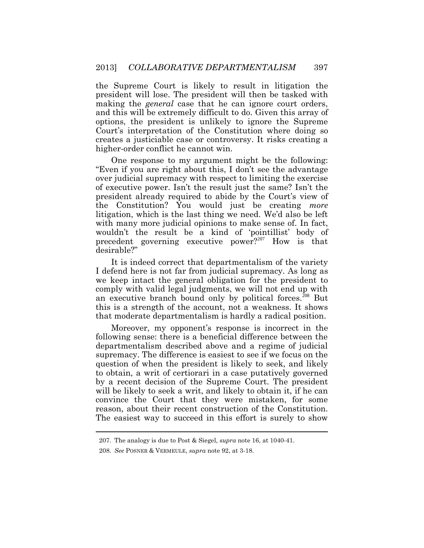the Supreme Court is likely to result in litigation the president will lose. The president will then be tasked with and this will be extremely difficult to do. Given this array of options, the president is unlikely to ignore the Supreme creates a justiciable case or controversy. It risks creating a making the *general* case that he can ignore court orders, Court's interpretation of the Constitution where doing so higher-order conflict he cannot win.

 One response to my argument might be the following: over judicial supremacy with respect to limiting the exercise of executive power. Isn't the result just the same? Isn't the president already required to abide by the Court's view of with many more judicial opinions to make sense of. In fact, wouldn't the result be a kind of 'pointillist' body of "Even if you are right about this, I don't see the advantage the Constitution? You would just be creating *more*  litigation, which is the last thing we need. We'd also be left precedent governing executive power?<sup>207</sup> How is that desirable?"

 It is indeed correct that departmentalism of the variety I defend here is not far from judicial supremacy. As long as we keep intact the general obligation for the president to comply with valid legal judgments, we will not end up with an executive branch bound only by political forces.<sup>208</sup> But this is a strength of the account, not a weakness. It shows that moderate departmentalism is hardly a radical position.

 following sense: there is a beneficial difference between the departmentalism described above and a regime of judicial question of when the president is likely to seek, and likely to obtain, a writ of certiorari in a case putatively governed by a recent decision of the Supreme Court. The president will be likely to seek a writ, and likely to obtain it, if he can The easiest way to succeed in this effort is surely to show Moreover, my opponent's response is incorrect in the supremacy. The difference is easiest to see if we focus on the convince the Court that they were mistaken, for some reason, about their recent construction of the Constitution.

<sup>207.</sup> The analogy is due to Post & Siegel, *supra* note [16,](#page-4-0) at 1040-41.

 208. *See* POSNER & VERMEULE, *supra* note 92, at 3-18.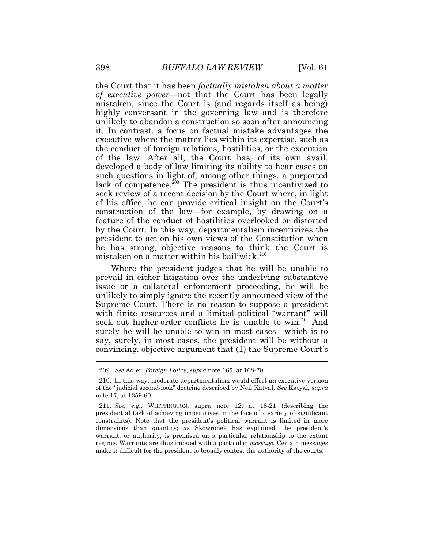the Court that it has been *factually mistaken about a matter of executive power*—not that the Court has been legally it. In contrast, a focus on factual mistake advantages the the conduct of foreign relations, hostilities, or the execution of the law. After all, the Court has, of its own avail, developed a body of law limiting its ability to hear cases on such questions in light of, among other things, a purported lack of competence.<sup>209</sup> The president is thus incentivized to seek review of a recent decision by the Court where, in light feature of the conduct of hostilities overlooked or distorted by the Court. In this way, departmentalism incentivizes the he has strong, objective reasons to think the Court is mistaken, since the Court is (and regards itself as being) highly conversant in the governing law and is therefore unlikely to abandon a construction so soon after announcing executive where the matter lies within its expertise, such as of his office, he can provide critical insight on the Court's construction of the law—for example, by drawing on a president to act on his own views of the Constitution when mistaken on a matter within his bailiwick.<sup>210</sup>

 Where the president judges that he will be unable to prevail in either litigation over the underlying substantive issue or a collateral enforcement proceeding, he will be Supreme Court. There is no reason to suppose a president surely he will be unable to win in most cases—which is to say, surely, in most cases, the president will be without a unlikely to simply ignore the recently announced view of the with finite resources and a limited political "warrant" will seek out higher-order conflicts he is unable to win.<sup>211</sup> And convincing, objective argument that (1) the Supreme Court's

<sup>209</sup>*. See* Adler, *Foreign Policy*, *supra* note 165, at 168-70.

 of the "judicial second-look" doctrine described by Neil Katyal. *See* Katyal, *supra*  210. In this way, moderate departmentalism would effect an executive version not[e 17,](#page-4-2) at 1359-60.

 211. *See, e.g.*, WHITTINGTON, supra note 12, at 18-21 (describing the presidential task of achieving imperatives in the face of a variety of significant constraints). Note that the president's political warrant is limited in more dimensions than quantity; as Skowronek has explained, the president's warrant, or authority, is premised on a particular relationship to the extant regime. Warrants are thus imbued with a particular *message*. Certain messages make it difficult for the president to broadly contest the authority of the courts.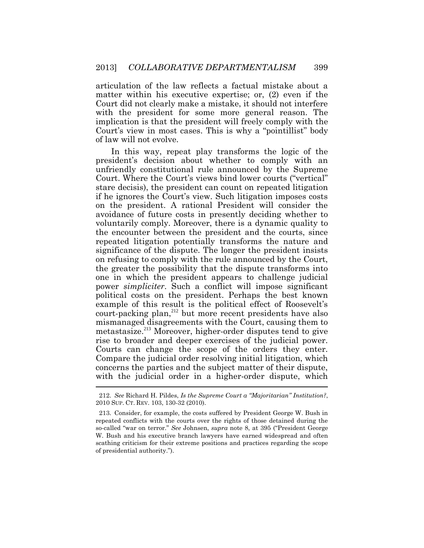articulation of the law reflects a factual mistake about a with the president for some more general reason. The implication is that the president will freely comply with the Court's view in most cases. This is why a "pointillist" body matter within his executive expertise; or, (2) even if the Court did not clearly make a mistake, it should not interfere of law will not evolve.

 In this way, repeat play transforms the logic of the president's decision about whether to comply with an unfriendly constitutional rule announced by the Supreme stare decisis), the president can count on repeated litigation if he ignores the Court's view. Such litigation imposes costs on the president. A rational President will consider the avoidance of future costs in presently deciding whether to voluntarily comply. Moreover, there is a dynamic quality to the encounter between the president and the courts, since repeated litigation potentially transforms the nature and significance of the dispute. The longer the president insists on refusing to comply with the rule announced by the Court, one in which the president appears to challenge judicial example of this result is the political effect of Roosevelt's metastasize.<sup>213</sup> Moreover, higher-order disputes tend to give rise to broader and deeper exercises of the judicial power. Courts can change the scope of the orders they enter. Compare the judicial order resolving initial litigation, which concerns the parties and the subject matter of their dispute, with the judicial order in a higher-order dispute, which Court. Where the Court's views bind lower courts ("vertical" the greater the possibility that the dispute transforms into power *simpliciter*. Such a conflict will impose significant political costs on the president. Perhaps the best known court-packing plan,<sup>212</sup> but more recent presidents have also mismanaged disagreements with the Court, causing them to

 212. *See* Richard H. Pildes, *Is the Supreme Court a "Majoritarian" Institution?*, 2010 SUP. CT. REV. 103, 130-32 (2010).

 repeated conflicts with the courts over the rights of those detained during the so-called "war on terror." *See* Johnsen, *supra* note [8](#page-2-0), at 395 ("President George W. Bush and his executive branch lawyers have earned widespread and often scathing criticism for their extreme positions and practices regarding the scope 213. Consider, for example, the costs suffered by President George W. Bush in of presidential authority.").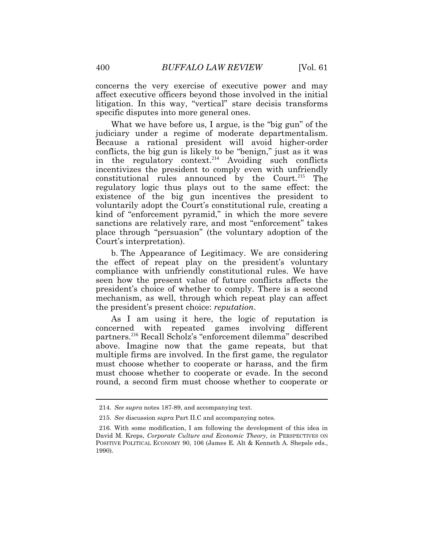concerns the very exercise of executive power and may affect executive officers beyond those involved in the initial litigation. In this way, "vertical" stare decisis transforms specific disputes into more general ones.

 What we have before us, I argue, is the "big gun" of the judiciary under a regime of moderate departmentalism. Because a rational president will avoid higher-order conflicts, the big gun is likely to be "benign," just as it was in the regulatory context.<sup>214</sup> Avoiding such conflicts incentivizes the president to comply even with unfriendly  $\text{constitutional rules}$  announced by the Court.<sup>215</sup> The existence of the big gun incentives the president to kind of "enforcement pyramid," in which the more severe sanctions are relatively rare, and most "enforcement" takes regulatory logic thus plays out to the same effect: the voluntarily adopt the Court's constitutional rule, creating a place through "persuasion" (the voluntary adoption of the Court's interpretation).

 b. The Appearance of Legitimacy. We are considering the effect of repeat play on the president's voluntary president's choice of whether to comply. There is a second mechanism, as well, through which repeat play can affect compliance with unfriendly constitutional rules. We have seen how the present value of future conflicts affects the the president's present choice: *reputation*.

 As I am using it here, the logic of reputation is concerned with repeated games involving different round, a second firm must choose whether to cooperate or partners.<sup>216</sup> Recall Scholz's "enforcement dilemma" described above. Imagine now that the game repeats, but that multiple firms are involved. In the first game, the regulator must choose whether to cooperate or harass, and the firm must choose whether to cooperate or evade. In the second

 214. *See supra* notes 187-89, and accompanying text.

<sup>215.</sup> *See* discussion *supra* Part II.C and accompanying notes.

 David M. Kreps, *Corporate Culture and Economic Theory*, *in* PERSPECTIVES ON POSITIVE POLITICAL ECONOMY 90, 106 (James E. Alt & Kenneth A. Shepsle eds., 216. With some modification, I am following the development of this idea in 1990).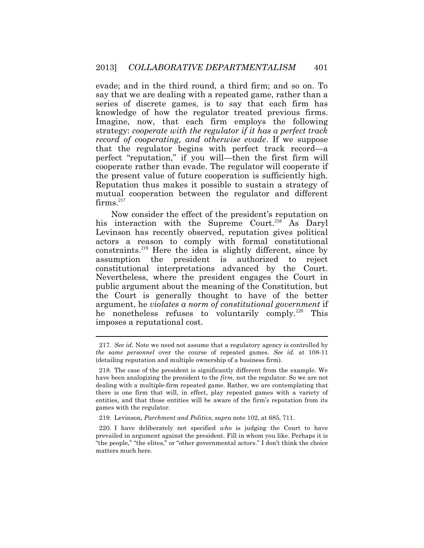evade; and in the third round, a third firm; and so on. To say that we are dealing with a repeated game, rather than a series of discrete games, is to say that each firm has knowledge of how the regulator treated previous firms. Imagine, now, that each firm employs the following  strategy: *cooperate with the regulator if it has a perfect track*  that the regulator begins with perfect track record—a cooperate rather than evade. The regulator will cooperate if the present value of future cooperation is sufficiently high. Reputation thus makes it possible to sustain a strategy of mutual cooperation between the regulator and different *record of cooperating, and otherwise evade*. If we suppose perfect "reputation," if you will—then the first firm will  $firms.<sup>217</sup>$ 

his interaction with the Supreme Court.<sup>218</sup> As Daryl Levinson has recently observed, reputation gives political actors a reason to comply with formal constitutional constraints.<sup>219</sup> Here the idea is slightly different, since by constitutional interpretations advanced by the Court. Nevertheless, where the president engages the Court in  argument, he *violates a norm of constitutional government* if Now consider the effect of the president's reputation on assumption the president is authorized to reject public argument about the meaning of the Constitution, but the Court is generally thought to have of the better he nonetheless refuses to voluntarily comply.<sup>220</sup> This imposes a reputational cost.

 217. *See id.* Note we need not assume that a regulatory agency is controlled by *the same personnel* over the course of repeated games. *See id.* at 108-11 (detailing reputation and multiple ownership of a business firm).

 have been analogizing the president to the *firm*, not the regulator. So we are not dealing with a multiple-firm repeated game. Rather, we are contemplating that there is one firm that will, in effect, play repeated games with a variety of entities, and that those entities will be aware of the firm's reputation from its 218. The case of the president is significantly different from the example. We games with the regulator.

 219. Levinson, *Parchment and Politics*, *supra* note 102, at 685, 711.

 "the people," "the elites," or "other governmental actors." I don't think the choice 220. I have deliberately not specified *who* is judging the Court to have prevailed in argument against the president. Fill in whom you like. Perhaps it is matters much here.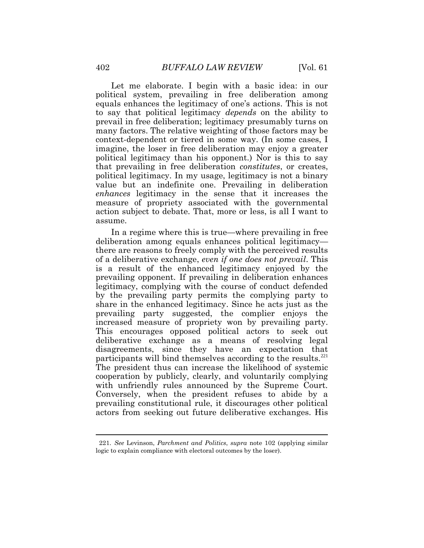Let me elaborate. I begin with a basic idea: in our political system, prevailing in free deliberation among equals enhances the legitimacy of one's actions. This is not to say that political legitimacy *depends* on the ability to prevail in free deliberation; legitimacy presumably turns on many factors. The relative weighting of those factors may be context-dependent or tiered in some way. (In some cases, I imagine, the loser in free deliberation may enjoy a greater political legitimacy than his opponent.) Nor is this to say political legitimacy. In my usage, legitimacy is not a binary measure of propriety associated with the governmental action subject to debate. That, more or less, is all I want to that prevailing in free deliberation *constitutes*, or creates, value but an indefinite one. Prevailing in deliberation *enhances* legitimacy in the sense that it increases the assume.

 In a regime where this is true—where prevailing in free deliberation among equals enhances political legitimacy— there are reasons to freely comply with the perceived results of a deliberative exchange, *even if one does not prevail*. This is a result of the enhanced legitimacy enjoyed by the prevailing opponent. If prevailing in deliberation enhances by the prevailing party permits the complying party to share in the enhanced legitimacy. Since he acts just as the prevailing party suggested, the complier enjoys the increased measure of propriety won by prevailing party. This encourages opposed political actors to seek out deliberative exchange as a means of resolving legal disagreements, since they have an expectation that participants will bind themselves according to the results.<sup>221</sup> The president thus can increase the likelihood of systemic cooperation by publicly, clearly, and voluntarily complying with unfriendly rules announced by the Supreme Court. Conversely, when the president refuses to abide by a prevailing constitutional rule, it discourages other political legitimacy, complying with the course of conduct defended actors from seeking out future deliberative exchanges. His

 221. *See* Levinson, *Parchment and Politics*, *supra* note 102 (applying similar logic to explain compliance with electoral outcomes by the loser).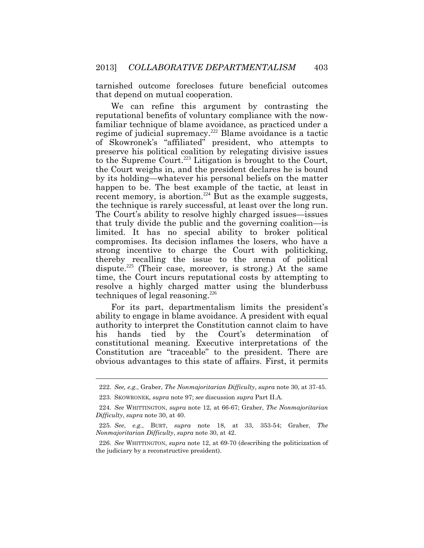tarnished outcome forecloses future beneficial outcomes that depend on mutual cooperation.

 reputational benefits of voluntary compliance with the now- familiar technique of blame avoidance, as practiced under a regime of judicial supremacy.<sup>222</sup> Blame avoidance is a tactic the Court weighs in, and the president declares he is bound the technique is rarely successful, at least over the long run. The Court's ability to resolve highly charged issues—issues that truly divide the public and the governing coalition—is limited. It has no special ability to broker political thereby recalling the issue to the arena of political dispute.<sup>225</sup> (Their case, moreover, is strong.) At the same time, the Court incurs reputational costs by attempting to resolve a highly charged matter using the blunderbuss We can refine this argument by contrasting the of Skowronek's "affiliated" president, who attempts to preserve his political coalition by relegating divisive issues to the Supreme Court.<sup>223</sup> Litigation is brought to the Court, by its holding—whatever his personal beliefs on the matter happen to be. The best example of the tactic, at least in recent memory, is abortion.<sup>224</sup> But as the example suggests, compromises. Its decision inflames the losers, who have a strong incentive to charge the Court with politicking, techniques of legal reasoning.<sup>226</sup>

hands constitutional meaning. Executive interpretations of the obvious advantages to this state of affairs. First, it permits For its part, departmentalism limits the president's ability to engage in blame avoidance. A president with equal authority to interpret the Constitution cannot claim to have his hands tied by the Court's determination of Constitution are "traceable" to the president. There are

 222. *See, e.g.*, Graber, *The Nonmajoritarian Difficulty*, *supra* note [30,](#page-9-1) at 37-45.

<sup>223.</sup> SKOWRONEK, *supra* note 97; *see* discussion *supra* Part II.A.

 224. *See* WHITTINGTON, *supra* note 12, at 66-67; Graber, *The Nonmajoritarian Difficulty*, *supra* note [30,](#page-9-1) at 40.

 225. *See*, *e.g.*, BURT, *supra* note [18,](#page-5-0) at 33, 353-54; Graber, *The Nonmajoritarian Difficulty*, *supra* not[e 30,](#page-9-1) at 42.

 226. *See* WHITTINGTON, *supra* note [12,](#page-3-0) at 69-70 (describing the politicization of the judiciary by a reconstructive president).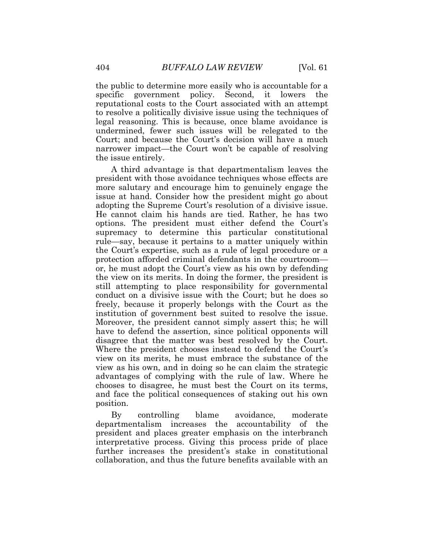the public to determine more easily who is accountable for a reputational costs to the Court associated with an attempt to resolve a politically divisive issue using the techniques of legal reasoning. This is because, once blame avoidance is undermined, fewer such issues will be relegated to the Court; and because the Court's decision will have a much narrower impact—the Court won't be capable of resolving specific government policy. Second, it lowers the the issue entirely.

 A third advantage is that departmentalism leaves the president with those avoidance techniques whose effects are more salutary and encourage him to genuinely engage the issue at hand. Consider how the president might go about adopting the Supreme Court's resolution of a divisive issue. options. The president must either defend the Court's rule—say, because it pertains to a matter uniquely within the Court's expertise, such as a rule of legal procedure or a protection afforded criminal defendants in the courtroom— or, he must adopt the Court's view as his own by defending the view on its merits. In doing the former, the president is still attempting to place responsibility for governmental conduct on a divisive issue with the Court; but he does so freely, because it properly belongs with the Court as the Moreover, the president cannot simply assert this; he will have to defend the assertion, since political opponents will disagree that the matter was best resolved by the Court. Where the president chooses instead to defend the Court's view on its merits, he must embrace the substance of the view as his own, and in doing so he can claim the strategic advantages of complying with the rule of law. Where he chooses to disagree, he must best the Court on its terms, and face the political consequences of staking out his own He cannot claim his hands are tied. Rather, he has two supremacy to determine this particular constitutional institution of government best suited to resolve the issue. position.

 By controlling blame avoidance, moderate departmentalism increases the accountability of the president and places greater emphasis on the interbranch interpretative process. Giving this process pride of place further increases the president's stake in constitutional collaboration, and thus the future benefits available with an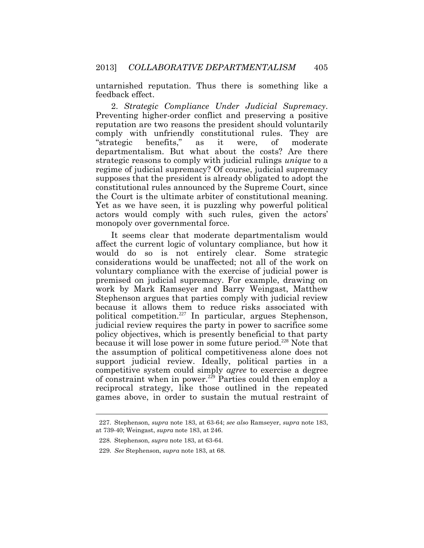untarnished reputation. Thus there is something like a feedback effect.

 2. *Strategic Compliance Under Judicial Supremacy*. Preventing higher-order conflict and preserving a positive departmentalism. But what about the costs? Are there strategic reasons to comply with judicial rulings *unique* to a regime of judicial supremacy? Of course, judicial supremacy constitutional rules announced by the Supreme Court, since the Court is the ultimate arbiter of constitutional meaning. Yet as we have seen, it is puzzling why powerful political actors would comply with such rules, given the actors' reputation are two reasons the president should voluntarily comply with unfriendly constitutional rules. They are "strategic benefits," as it were, of moderate supposes that the president is already obligated to adopt the monopoly over governmental force.

 affect the current logic of voluntary compliance, but how it would do so is not entirely clear. Some strategic considerations would be unaffected; not all of the work on voluntary compliance with the exercise of judicial power is premised on judicial supremacy. For example, drawing on work by Mark Ramseyer and Barry Weingast, Matthew Stephenson argues that parties comply with judicial review because it allows them to reduce risks associated with judicial review requires the party in power to sacrifice some policy objectives, which is presently beneficial to that party because it will lose power in some future period.<sup>228</sup> Note that the assumption of political competitiveness alone does not support judicial review. Ideally, political parties in a competitive system could simply *agree* to exercise a degree of constraint when in power.<sup>229</sup> Parties could then employ a It seems clear that moderate departmentalism would political competition.<sup>227</sup> In particular, argues Stephenson, reciprocal strategy, like those outlined in the repeated games above, in order to sustain the mutual restraint of

 227. Stephenson, *supra* note 183, at 63-64; *see also* Ramseyer, *supra* note 183, at 739-40; Weingast, *supra* note 183, at 246.

<sup>228.</sup> Stephenson, *supra* note 183, at 63-64.

 229. *See* Stephenson, *supra* note 183, at 68.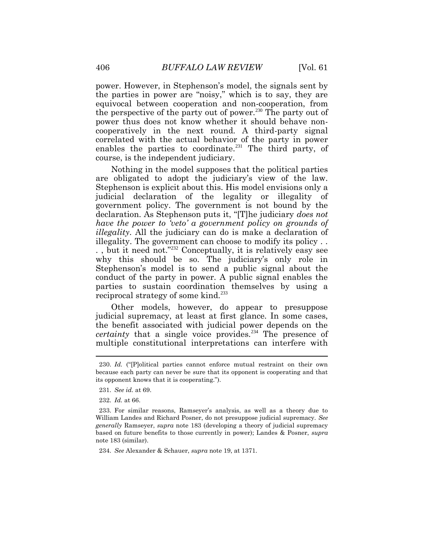the perspective of the party out of power.<sup>230</sup> The party out of power thus does not know whether it should behave non- cooperatively in the next round. A third-party signal correlated with the actual behavior of the party in power enables the parties to coordinate.<sup>231</sup> The third party, of power. However, in Stephenson's model, the signals sent by the parties in power are "noisy," which is to say, they are equivocal between cooperation and non-cooperation, from course, is the independent judiciary.

 Nothing in the model supposes that the political parties are obligated to adopt the judiciary's view of the law. Stephenson is explicit about this. His model envisions only a judicial declaration of the legality or illegality of government policy. The government is not bound by the  declaration. As Stephenson puts it, "[T]he judiciary *does not have the power to 'veto' a government policy on grounds of* Stephenson's model is to send a public signal about the conduct of the party in power. A public signal enables the parties to sustain coordination themselves by using a *illegality*. All the judiciary can do is make a declaration of illegality. The government can choose to modify its policy . . ., but it need not."<sup>232</sup> Conceptually, it is relatively easy see why this should be so. The judiciary's only role in reciprocal strategy of some kind.<sup>233</sup>

 Other models, however, do appear to presuppose the benefit associated with judicial power depends on the *certainty* that a single voice provides.<sup>234</sup> The presence of judicial supremacy, at least at first glance. In some cases, multiple constitutional interpretations can interfere with

 230. *Id.* ("[P]olitical parties cannot enforce mutual restraint on their own because each party can never be sure that its opponent is cooperating and that its opponent knows that it is cooperating.").

 231. *See id.* at 69.

 232. *Id.* at 66.

 William Landes and Richard Posner, do not presuppose judicial supremacy. *See generally* Ramseyer, *supra* note 183 (developing a theory of judicial supremacy based on future benefits to those currently in power); Landes & Posner, *supra*  note 183 (similar). 233. For similar reasons, Ramseyer's analysis, as well as a theory due to

 234. *See* Alexander & Schauer, *supra* note [19,](#page-5-1) at 1371.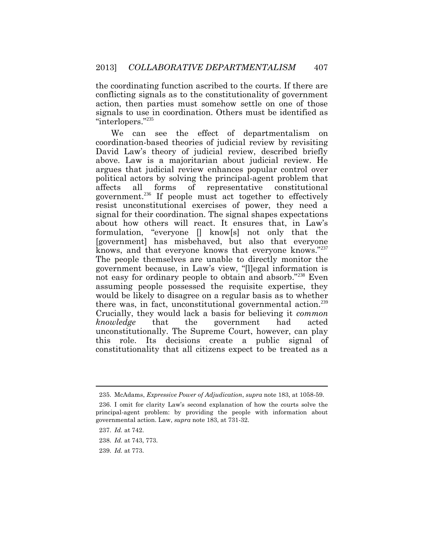conflicting signals as to the constitutionality of government action, then parties must somehow settle on one of those the coordinating function ascribed to the courts. If there are signals to use in coordination. Others must be identified as "interlopers."<sup>235</sup>

 We can see the effect of departmentalism on coordination-based theories of judicial review by revisiting David Law's theory of judicial review, described briefly above. Law is a majoritarian about judicial review. He argues that judicial review enhances popular control over political actors by solving the principal-agent problem that all government.<sup>236</sup> If people must act together to effectively resist unconstitutional exercises of power, they need a signal for their coordination. The signal shapes expectations about how others will react. It ensures that, in Law's formulation, "everyone [] know[s] not only that the not easy for ordinary people to obtain and absorb."<sup>238</sup> Even would be likely to disagree on a regular basis as to whether there was, in fact, unconstitutional governmental action.<sup>239</sup> Crucially, they would lack a basis for believing it *common*  knowledge this role. Its decisions create a public signal of constitutionality that all citizens expect to be treated as a affects all forms of representative constitutional [government] has misbehaved, but also that everyone knows, and that everyone knows that everyone knows."<sup>237</sup> The people themselves are unable to directly monitor the government because, in Law's view, "[l]egal information is assuming people possessed the requisite expertise, they that the government had acted unconstitutionally. The Supreme Court, however, can play

237. *Id.* at 742.

- 238. *Id.* at 743, 773.
- 239. *Id.* at 773.

<sup>235.</sup> McAdams, *Expressive Power of Adjudication*, *supra* note 183, at 1058-59.

 principal-agent problem: by providing the people with information about governmental action. Law, *supra* note 183, at 731-32. 236. I omit for clarity Law's second explanation of how the courts solve the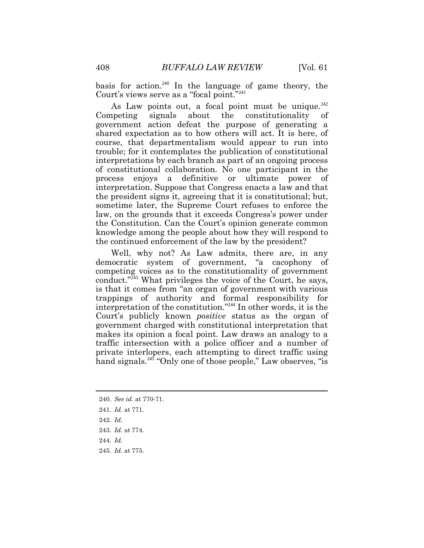basis for action.<sup>240</sup> In the language of game theory, the Court's views serve as a "focal point."<sup>241</sup>

As Law points out, a focal point must be unique. $^{242}$  Competing signals about the constitutionality of government action defeat the purpose of generating a shared expectation as to how others will act. It is here, of course, that departmentalism would appear to run into trouble; for it contemplates the publication of constitutional the president signs it, agreeing that it is constitutional; but, sometime later, the Supreme Court refuses to enforce the the Constitution. Can the Court's opinion generate common knowledge among the people about how they will respond to interpretations by each branch as part of an ongoing process of constitutional collaboration. No one participant in the process enjoys a definitive or ultimate power of interpretation. Suppose that Congress enacts a law and that law, on the grounds that it exceeds Congress's power under the continued enforcement of the law by the president?

 Well, why not? As Law admits, there are, in any democratic system of government, "a cacophony of competing voices as to the constitutionality of government conduct."<sup>243</sup> What privileges the voice of the Court, he says, trappings of authority and formal responsibility for interpretation of the constitution.<sup>"244</sup> In other words, it is the Court's publicly known *positive* status as the organ of makes its opinion a focal point. Law draws an analogy to a traffic intersection with a police officer and a number of is that it comes from "an organ of government with various government charged with constitutional interpretation that private interlopers, each attempting to direct traffic using hand signals.<sup>245</sup> "Only one of those people," Law observes, "is

- 240. *See id.* at 770-71.
- 241. *Id.* at 771.
- 242. *Id.*
- 243. *Id.* at 774.
- 244. *Id.*

 $\overline{a}$ 

245. *Id.* at 775.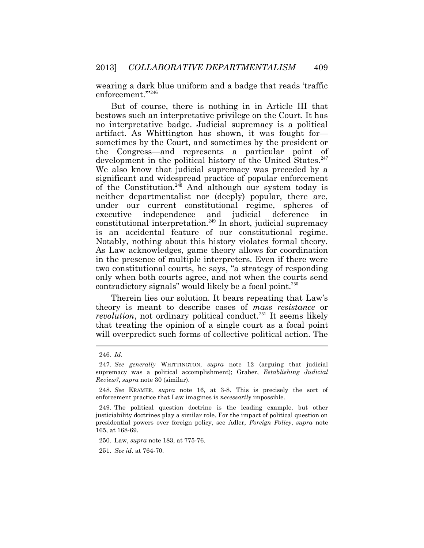wearing a dark blue uniform and a badge that reads 'traffic enforcement."<sup>246</sup>

 But of course, there is nothing in in Article III that no interpretative badge. Judicial supremacy is a political sometimes by the Court, and sometimes by the president or the Congress—and represents a particular point of development in the political history of the United States.<sup>247</sup> We also know that judicial supremacy was preceded by a significant and widespread practice of popular enforcement of the Constitution.<sup>248</sup> And although our system today is under our current constitutional regime, spheres of and is an accidental feature of our constitutional regime. Notably, nothing about this history violates formal theory. As Law acknowledges, game theory allows for coordination two constitutional courts, he says, "a strategy of responding bestows such an interpretative privilege on the Court. It has artifact. As Whittington has shown, it was fought for neither departmentalist nor (deeply) popular, there are, executive independence and judicial deference in constitutional interpretation.<sup>249</sup> In short, judicial supremacy in the presence of multiple interpreters. Even if there were only when both courts agree, and not when the courts send contradictory signals" would likely be a focal point. $250$ 

 Therein lies our solution. It bears repeating that Law's theory is meant to describe cases of *mass resistance* or *revolution*, not ordinary political conduct.<sup>251</sup> It seems likely that treating the opinion of a single court as a focal point will overpredict such forms of collective political action. The

250. Law, *supra* note 183, at 775-76.

251. *See id*. at 764-70.

<sup>246.</sup> *Id.* 

 247. *See generally* WHITTINGTON, *supra* note [12](#page-3-0) (arguing that judicial supremacy was a political accomplishment); Graber, *Establishing Judicial Review?*, *supra* note [30](#page-9-1) (similar).

 248. *See* KRAMER, *supra* note [16,](#page-4-0) at 3-8. This is precisely the sort of enforcement practice that Law imagines is *necessarily* impossible.

 justiciability doctrines play a similar role. For the impact of political question on presidential powers over foreign policy, see Adler, *Foreign Policy*, *supra* note 249. The political question doctrine is the leading example, but other 165, at 168-69.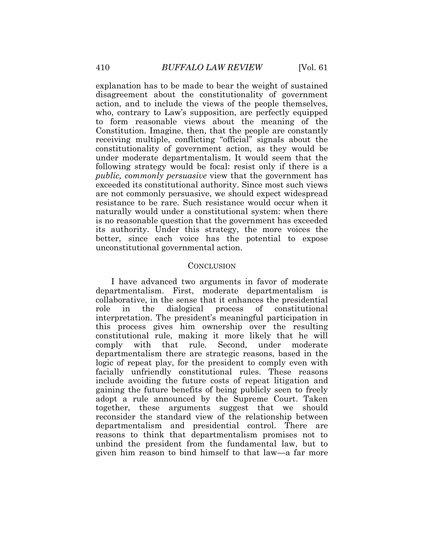explanation has to be made to bear the weight of sustained disagreement about the constitutionality of government who, contrary to Law's supposition, are perfectly equipped to form reasonable views about the meaning of the constitutionality of government action, as they would be under moderate departmentalism. It would seem that the following strategy would be focal: resist only if there is a resistance to be rare. Such resistance would occur when it naturally would under a constitutional system: when there its authority. Under this strategy, the more voices the better, since each voice has the potential to expose action, and to include the views of the people themselves, Constitution. Imagine, then, that the people are constantly receiving multiple, conflicting "official" signals about the *public, commonly persuasive* view that the government has exceeded its constitutional authority. Since most such views are not commonly persuasive, we should expect widespread is no reasonable question that the government has exceeded unconstitutional governmental action.

#### **CONCLUSION**

 I have advanced two arguments in favor of moderate dialogical this process gives him ownership over the resulting logic of repeat play, for the president to comply even with facially unfriendly constitutional rules. These reasons include avoiding the future costs of repeat litigation and adopt a rule announced by the Supreme Court. Taken reconsider the standard view of the relationship between departmentalism and presidential control. There are reasons to think that departmentalism promises not to unbind the president from the fundamental law, but to given him reason to bind himself to that law—a far more departmentalism. First, moderate departmentalism is collaborative, in the sense that it enhances the presidential role in the dialogical process of constitutional interpretation. The president's meaningful participation in constitutional rule, making it more likely that he will comply with that rule. Second, under moderate departmentalism there are strategic reasons, based in the gaining the future benefits of being publicly seen to freely together, these arguments suggest that we should